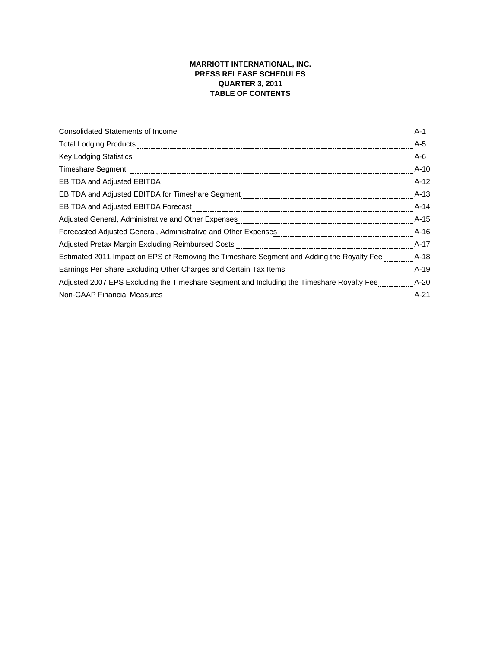## **MARRIOTT INTERNATIONAL, INC. PRESS RELEASE SCHEDULES QUARTER 3, 2011 TABLE OF CONTENTS**

|                                                                                                                                                                                                                                | A-1    |
|--------------------------------------------------------------------------------------------------------------------------------------------------------------------------------------------------------------------------------|--------|
| Total Lodging Products [111] 1999 - 2009 - 2010 - 2010 - 2010 - 2010 - 2010 - 2010 - 2010 - 2010 - 2010 - 2010 - 2010 - 2010 - 2010 - 2010 - 2010 - 2010 - 2010 - 2010 - 2010 - 2010 - 2010 - 2010 - 2010 - 2010 - 2010 - 2010 | A-5    |
| Key Lodging Statistics [10011] All the Contract Contract Contract Contract Contract Contract Contract Contract Contract Contract Contract Contract Contract Contract Contract Contract Contract Contract Contract Contract Con | A-6    |
|                                                                                                                                                                                                                                | $A-10$ |
|                                                                                                                                                                                                                                | $A-12$ |
|                                                                                                                                                                                                                                | $A-13$ |
| EBITDA and Adjusted EBITDA Forecast [111][10] The Case of the Advance of Adjustment Case of Adjusted EBITDA Forecast [11] The Case of the Case of the Case of the Case of the Case of the Case of the Case of the Case of the  | A-14   |
|                                                                                                                                                                                                                                | $A-15$ |
|                                                                                                                                                                                                                                | $A-16$ |
|                                                                                                                                                                                                                                | A-17   |
| Estimated 2011 Impact on EPS of Removing the Timeshare Segment and Adding the Royalty Fee                                                                                                                                      | $A-18$ |
|                                                                                                                                                                                                                                | $A-19$ |
| Adjusted 2007 EPS Excluding the Timeshare Segment and Including the Timeshare Royalty Fee                                                                                                                                      | $A-20$ |
| <b>Non-GAAP Financial Measures</b>                                                                                                                                                                                             | $A-21$ |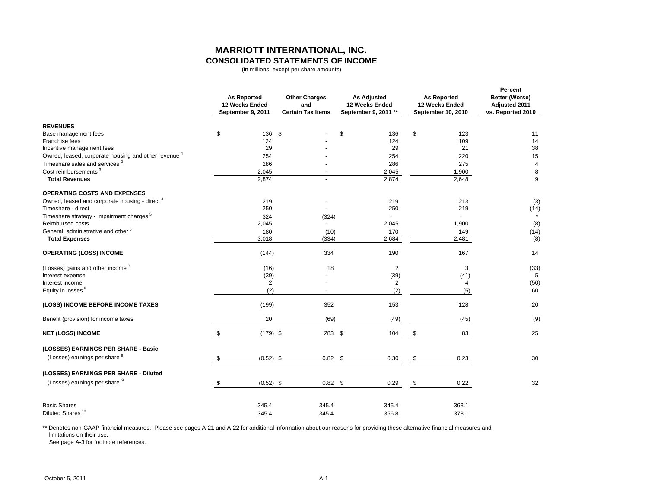## **MARRIOTT INTERNATIONAL, INC. CONSOLIDATED STATEMENTS OF INCOME**

(in millions, except per share amounts)

|                                                                                              | <b>As Reported</b><br>12 Weeks Ended<br>September 9, 2011 | <b>Other Charges</b><br>and<br><b>Certain Tax Items</b> | <b>As Adjusted</b><br>12 Weeks Ended<br>September 9, 2011 ** |                | <b>As Reported</b><br>12 Weeks Ended<br>September 10, 2010 | Percent<br>Better (Worse)<br>Adjusted 2011<br>vs. Reported 2010 |
|----------------------------------------------------------------------------------------------|-----------------------------------------------------------|---------------------------------------------------------|--------------------------------------------------------------|----------------|------------------------------------------------------------|-----------------------------------------------------------------|
| <b>REVENUES</b>                                                                              |                                                           |                                                         |                                                              |                |                                                            |                                                                 |
| Base management fees                                                                         | \$<br>136                                                 | \$                                                      | \$                                                           | 136            | \$<br>123                                                  | 11                                                              |
| Franchise fees                                                                               | 124                                                       |                                                         |                                                              | 124            | 109                                                        | 14                                                              |
| Incentive management fees<br>Owned, leased, corporate housing and other revenue <sup>1</sup> | 29                                                        |                                                         |                                                              | 29             | 21                                                         | 38                                                              |
| Timeshare sales and services <sup>2</sup>                                                    | 254<br>286                                                |                                                         |                                                              | 254<br>286     | 220<br>275                                                 | 15<br>4                                                         |
| Cost reimbursements <sup>3</sup>                                                             | 2,045                                                     |                                                         |                                                              | 2,045          | 1,900                                                      | $\bf 8$                                                         |
| <b>Total Revenues</b>                                                                        | 2,874                                                     |                                                         |                                                              | 2,874          | 2,648                                                      | 9                                                               |
| <b>OPERATING COSTS AND EXPENSES</b>                                                          |                                                           |                                                         |                                                              |                |                                                            |                                                                 |
| Owned, leased and corporate housing - direct <sup>4</sup>                                    | 219                                                       |                                                         |                                                              | 219            | 213                                                        | (3)                                                             |
| Timeshare - direct                                                                           | 250                                                       | $\blacksquare$                                          |                                                              | 250            | 219                                                        | (14)                                                            |
| Timeshare strategy - impairment charges <sup>5</sup>                                         | 324                                                       | (324)                                                   |                                                              |                |                                                            |                                                                 |
| Reimbursed costs                                                                             | 2,045                                                     |                                                         |                                                              | 2,045          | 1,900                                                      | (8)                                                             |
| General, administrative and other <sup>6</sup>                                               | 180                                                       | (10)                                                    |                                                              | 170            | 149                                                        | (14)                                                            |
| <b>Total Expenses</b>                                                                        | 3,018                                                     | (334)                                                   |                                                              | 2,684          | 2,481                                                      | (8)                                                             |
| <b>OPERATING (LOSS) INCOME</b>                                                               | (144)                                                     | 334                                                     |                                                              | 190            | 167                                                        | 14                                                              |
| (Losses) gains and other income <sup>7</sup>                                                 | (16)                                                      | 18                                                      |                                                              | $\overline{2}$ | 3                                                          | (33)                                                            |
| Interest expense                                                                             | (39)                                                      |                                                         |                                                              | (39)           | (41)                                                       | 5                                                               |
| Interest income                                                                              | 2                                                         |                                                         |                                                              | 2              | 4                                                          | (50)                                                            |
| Equity in losses <sup>8</sup>                                                                | (2)                                                       |                                                         |                                                              | (2)            | (5)                                                        | 60                                                              |
| (LOSS) INCOME BEFORE INCOME TAXES                                                            | (199)                                                     | 352                                                     |                                                              | 153            | 128                                                        | 20                                                              |
| Benefit (provision) for income taxes                                                         | 20                                                        | (69)                                                    |                                                              | (49)           | (45)                                                       | (9)                                                             |
| <b>NET (LOSS) INCOME</b>                                                                     | $(179)$ \$                                                | 283 \$                                                  |                                                              | 104            | \$<br>83                                                   | 25                                                              |
| (LOSSES) EARNINGS PER SHARE - Basic                                                          |                                                           |                                                         |                                                              |                |                                                            |                                                                 |
| (Losses) earnings per share 9                                                                | \$<br>$(0.52)$ \$                                         | 0.82 <sup>5</sup>                                       |                                                              | 0.30           | \$<br>0.23                                                 | 30                                                              |
| (LOSSES) EARNINGS PER SHARE - Diluted                                                        |                                                           |                                                         |                                                              |                |                                                            |                                                                 |
| (Losses) earnings per share 9                                                                | \$<br>$(0.52)$ \$                                         | $0.82$ \$                                               |                                                              | 0.29           | \$<br>0.22                                                 | 32                                                              |
| <b>Basic Shares</b>                                                                          | 345.4                                                     | 345.4                                                   |                                                              | 345.4          | 363.1                                                      |                                                                 |
| Diluted Shares <sup>10</sup>                                                                 | 345.4                                                     | 345.4                                                   |                                                              | 356.8          | 378.1                                                      |                                                                 |

\*\* Denotes non-GAAP financial measures. Please see pages A-21 and A-22 for additional information about our reasons for providing these alternative financial measures and limitations on their use.

See page A-3 for footnote references.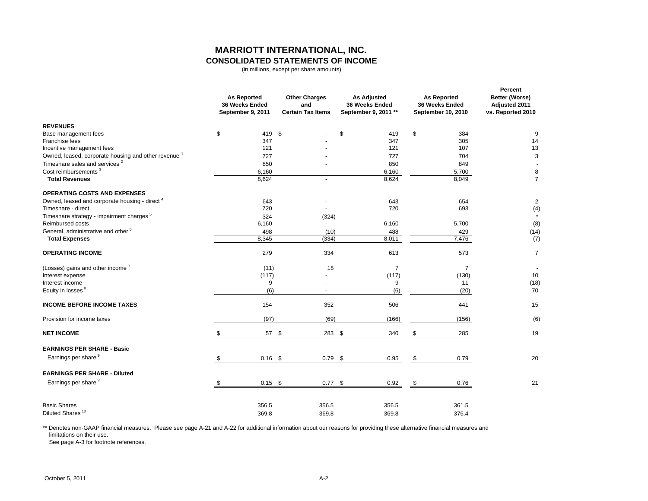## **MARRIOTT INTERNATIONAL, INC. CONSOLIDATED STATEMENTS OF INCOME**

(in millions, except per share amounts)

|                                                                                                              | <b>As Reported</b><br>36 Weeks Ended<br>September 9, 2011 | <b>Other Charges</b><br>and<br><b>Certain Tax Items</b> |        | <b>As Adjusted</b><br>36 Weeks Ended<br>September 9, 2011 ** | <b>As Reported</b><br>36 Weeks Ended<br>September 10, 2010 | Percent<br>Better (Worse)<br>Adjusted 2011<br>vs. Reported 2010 |
|--------------------------------------------------------------------------------------------------------------|-----------------------------------------------------------|---------------------------------------------------------|--------|--------------------------------------------------------------|------------------------------------------------------------|-----------------------------------------------------------------|
| <b>REVENUES</b>                                                                                              |                                                           |                                                         |        |                                                              |                                                            |                                                                 |
| Base management fees                                                                                         | \$<br>419                                                 | <b>S</b>                                                | \$     | 419                                                          | \$<br>384                                                  | 9                                                               |
| Franchise fees                                                                                               | 347                                                       |                                                         |        | 347                                                          | 305                                                        | 14                                                              |
| Incentive management fees                                                                                    | 121                                                       |                                                         |        | 121                                                          | 107                                                        | 13                                                              |
| Owned, leased, corporate housing and other revenue <sup>1</sup><br>Timeshare sales and services <sup>2</sup> | 727<br>850                                                |                                                         |        | 727<br>850                                                   | 704<br>849                                                 | 3                                                               |
| Cost reimbursements <sup>3</sup>                                                                             |                                                           |                                                         |        |                                                              |                                                            |                                                                 |
| <b>Total Revenues</b>                                                                                        | 6,160<br>8,624                                            |                                                         |        | 6,160<br>8,624                                               | 5,700<br>8,049                                             | 8<br>$\overline{7}$                                             |
| <b>OPERATING COSTS AND EXPENSES</b>                                                                          |                                                           |                                                         |        |                                                              |                                                            |                                                                 |
| Owned, leased and corporate housing - direct <sup>4</sup>                                                    | 643                                                       |                                                         |        | 643                                                          | 654                                                        | $\overline{2}$                                                  |
| Timeshare - direct                                                                                           | 720                                                       | $\overline{a}$                                          |        | 720                                                          | 693                                                        | (4)                                                             |
| Timeshare strategy - impairment charges <sup>5</sup>                                                         | 324                                                       | (324)                                                   |        | $\overline{a}$                                               |                                                            |                                                                 |
| Reimbursed costs                                                                                             | 6,160                                                     | ÷.                                                      |        | 6,160                                                        | 5,700                                                      | (8)                                                             |
| General, administrative and other <sup>6</sup>                                                               | 498                                                       | (10)                                                    |        | 488                                                          | 429                                                        | (14)                                                            |
| <b>Total Expenses</b>                                                                                        | 8,345                                                     | (334)                                                   |        | 8,011                                                        | 7,476                                                      | (7)                                                             |
| <b>OPERATING INCOME</b>                                                                                      | 279                                                       | 334                                                     |        | 613                                                          | 573                                                        | $\overline{7}$                                                  |
| (Losses) gains and other income <sup>7</sup>                                                                 | (11)                                                      | 18                                                      |        | $\overline{7}$                                               | $\overline{7}$                                             |                                                                 |
| Interest expense                                                                                             | (117)                                                     |                                                         |        | (117)                                                        | (130)                                                      | 10                                                              |
| Interest income                                                                                              | 9                                                         |                                                         |        | 9                                                            | 11                                                         | (18)                                                            |
| Equity in losses <sup>8</sup>                                                                                | (6)                                                       |                                                         |        | (6)                                                          | (20)                                                       | 70                                                              |
| <b>INCOME BEFORE INCOME TAXES</b>                                                                            | 154                                                       | 352                                                     |        | 506                                                          | 441                                                        | 15                                                              |
| Provision for income taxes                                                                                   | (97)                                                      | (69)                                                    |        | (166)                                                        | (156)                                                      | (6)                                                             |
| <b>NET INCOME</b>                                                                                            | 57 \$                                                     |                                                         | 283 \$ | 340                                                          | \$<br>285                                                  | 19                                                              |
| <b>EARNINGS PER SHARE - Basic</b>                                                                            |                                                           |                                                         |        |                                                              |                                                            |                                                                 |
| Earnings per share <sup>9</sup>                                                                              | \$<br>$0.16$ \$                                           | $0.79$ \$                                               |        | 0.95                                                         | \$<br>0.79                                                 | 20                                                              |
| <b>EARNINGS PER SHARE - Diluted</b>                                                                          |                                                           |                                                         |        |                                                              |                                                            |                                                                 |
| Earnings per share 9                                                                                         | \$<br>$0.15$ \$                                           | $0.77$ \$                                               |        | 0.92                                                         | \$<br>0.76                                                 | 21                                                              |
| <b>Basic Shares</b>                                                                                          | 356.5                                                     | 356.5                                                   |        | 356.5                                                        | 361.5                                                      |                                                                 |
| Diluted Shares <sup>10</sup>                                                                                 | 369.8                                                     | 369.8                                                   |        | 369.8                                                        | 376.4                                                      |                                                                 |

\*\* Denotes non-GAAP financial measures. Please see page A-21 and A-22 for additional information about our reasons for providing these alternative financial measures and limitations on their use.

See page A-3 for footnote references.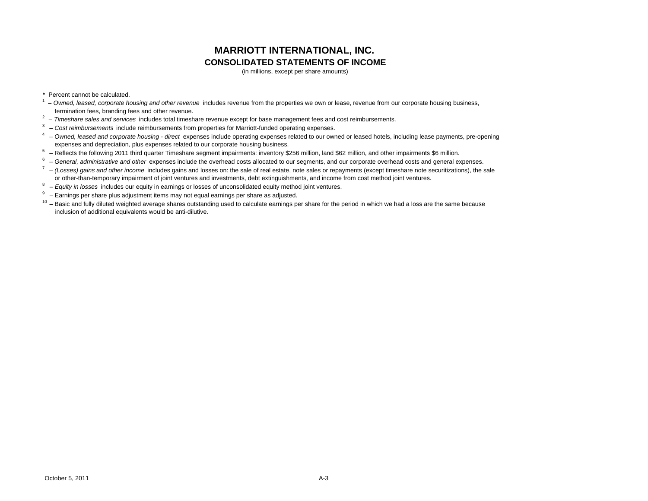## **MARRIOTT INTERNATIONAL, INC. CONSOLIDATED STATEMENTS OF INCOME**

(in millions, except per share amounts)

\* Percent cannot be calculated.

- <sup>1</sup> Owned, leased, corporate housing and other revenue includes revenue from the properties we own or lease, revenue from our corporate housing business, termination fees, branding fees and other revenue.
- 2 – *Timeshare sales and services* includes total timeshare revenue except for base management fees and cost reimbursements.
- 3 *Cost reimbursements* include reimbursements from properties for Marriott-funded operating expenses.
- 4 *Owned, leased and corporate housing direct* expenses include operating expenses related to our owned or leased hotels, including lease payments, pre-opening expenses and depreciation, plus expenses related to our corporate housing business.
- $5$  Reflects the following 2011 third quarter Timeshare segment impairments: inventory \$256 million, land \$62 million, and other impairments \$6 million.
- 6 – *General, administrative and other* expenses include the overhead costs allocated to our segments, and our corporate overhead costs and general expenses.
- 7 – *(Losses) gains and other income* includes gains and losses on: the sale of real estate, note sales or repayments (except timeshare note securitizations), the sale or other-than-temporary impairment of joint ventures and investments, debt extinguishments, and income from cost method joint ventures.
- 8 – *Equity in losses* includes our equity in earnings or losses of unconsolidated equity method joint ventures.
- $9 -$  Earnings per share plus adjustment items may not equal earnings per share as adjusted.
- $10$  Basic and fully diluted weighted average shares outstanding used to calculate earnings per share for the period in which we had a loss are the same because inclusion of additional equivalents would be anti-dilutive.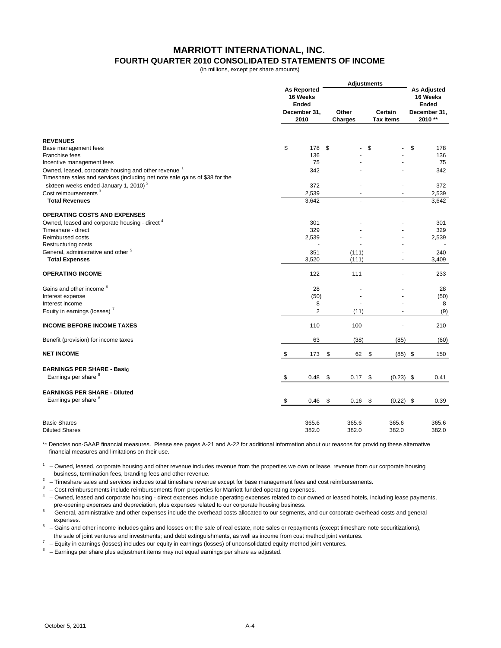### **MARRIOTT INTERNATIONAL, INC. FOURTH QUARTER 2010 CONSOLIDATED STATEMENTS OF INCOME**

(in millions, except per share amounts)

|                                                                                                                                                |                                                                        | <b>Adjustments</b>      |                             |                                                                           |
|------------------------------------------------------------------------------------------------------------------------------------------------|------------------------------------------------------------------------|-------------------------|-----------------------------|---------------------------------------------------------------------------|
|                                                                                                                                                | <b>As Reported</b><br>16 Weeks<br><b>Ended</b><br>December 31,<br>2010 | Other<br><b>Charges</b> | Certain<br><b>Tax Items</b> | <b>As Adjusted</b><br>16 Weeks<br><b>Ended</b><br>December 31,<br>2010 ** |
| <b>REVENUES</b>                                                                                                                                |                                                                        |                         |                             |                                                                           |
| Base management fees                                                                                                                           | \$<br>178                                                              | \$                      | \$                          | \$<br>178                                                                 |
| Franchise fees                                                                                                                                 | 136                                                                    |                         |                             | 136                                                                       |
| Incentive management fees                                                                                                                      | 75                                                                     |                         |                             | 75                                                                        |
| Owned, leased, corporate housing and other revenue <sup>1</sup><br>Timeshare sales and services (including net note sale gains of \$38 for the | 342                                                                    |                         |                             | 342                                                                       |
| sixteen weeks ended January 1, 2010) <sup>2</sup>                                                                                              | 372                                                                    |                         |                             | 372                                                                       |
| Cost reimbursements <sup>3</sup>                                                                                                               | 2,539                                                                  |                         |                             | 2,539                                                                     |
| <b>Total Revenues</b>                                                                                                                          | 3,642                                                                  |                         |                             | 3,642                                                                     |
| <b>OPERATING COSTS AND EXPENSES</b>                                                                                                            |                                                                        |                         |                             |                                                                           |
| Owned, leased and corporate housing - direct <sup>4</sup>                                                                                      | 301                                                                    |                         |                             | 301                                                                       |
| Timeshare - direct<br>Reimbursed costs                                                                                                         | 329<br>2,539                                                           |                         |                             | 329<br>2,539                                                              |
| Restructuring costs                                                                                                                            |                                                                        |                         |                             |                                                                           |
| General, administrative and other <sup>5</sup>                                                                                                 | 351                                                                    | (111)                   |                             | 240                                                                       |
| <b>Total Expenses</b>                                                                                                                          | 3,520                                                                  | (111)                   | ÷,                          | 3,409                                                                     |
| <b>OPERATING INCOME</b>                                                                                                                        | 122                                                                    | 111                     |                             | 233                                                                       |
| Gains and other income <sup>6</sup>                                                                                                            | 28                                                                     |                         |                             | 28                                                                        |
| Interest expense                                                                                                                               | (50)                                                                   |                         |                             | (50)                                                                      |
| Interest income                                                                                                                                | 8                                                                      |                         |                             | 8                                                                         |
| Equity in earnings (losses) <sup>7</sup>                                                                                                       | $\overline{2}$                                                         | (11)                    |                             | (9)                                                                       |
| <b>INCOME BEFORE INCOME TAXES</b>                                                                                                              | 110                                                                    | 100                     |                             | 210                                                                       |
| Benefit (provision) for income taxes                                                                                                           | 63                                                                     | (38)                    | (85)                        | (60)                                                                      |
| <b>NET INCOME</b>                                                                                                                              | \$<br>173                                                              | \$<br>62                | \$<br>$(85)$ \$             | 150                                                                       |
| <b>EARNINGS PER SHARE - Basic</b><br>Earnings per share 8                                                                                      | \$<br>0.48                                                             | \$<br>0.17              | \$<br>$(0.23)$ \$           | 0.41                                                                      |
| <b>EARNINGS PER SHARE - Diluted</b><br>Earnings per share <sup>8</sup>                                                                         | \$<br>0.46                                                             | \$<br>0.16              | \$<br>$(0.22)$ \$           | 0.39                                                                      |
| <b>Basic Shares</b><br><b>Diluted Shares</b>                                                                                                   | 365.6<br>382.0                                                         | 365.6<br>382.0          | 365.6<br>382.0              | 365.6<br>382.0                                                            |

\*\* Denotes non-GAAP financial measures. Please see pages A-21 and A-22 for additional information about our reasons for providing these alternative financial measures and limitations on their use.

 $1 -$  Owned, leased, corporate housing and other revenue includes revenue from the properties we own or lease, revenue from our corporate housing business, termination fees, branding fees and other revenue.

 $2$  – Timeshare sales and services includes total timeshare revenue except for base management fees and cost reimbursements.

 $3 -$  Cost reimbursements include reimbursements from properties for Marriott-funded operating expenses.

 $4$  – Owned, leased and corporate housing - direct expenses include operating expenses related to our owned or leased hotels, including lease payments, pre-opening expenses and depreciation, plus expenses related to our corporate housing business.

 $5$  – General, administrative and other expenses include the overhead costs allocated to our segments, and our corporate overhead costs and general expenses.

 $^6$  – Gains and other income includes gains and losses on: the sale of real estate, note sales or repayments (except timeshare note securitizations), the sale of joint ventures and investments; and debt extinguishments, as well as income from cost method joint ventures.

 $7$  – Equity in earnings (losses) includes our equity in earnings (losses) of unconsolidated equity method joint ventures.

 $8$  – Earnings per share plus adjustment items may not equal earnings per share as adjusted.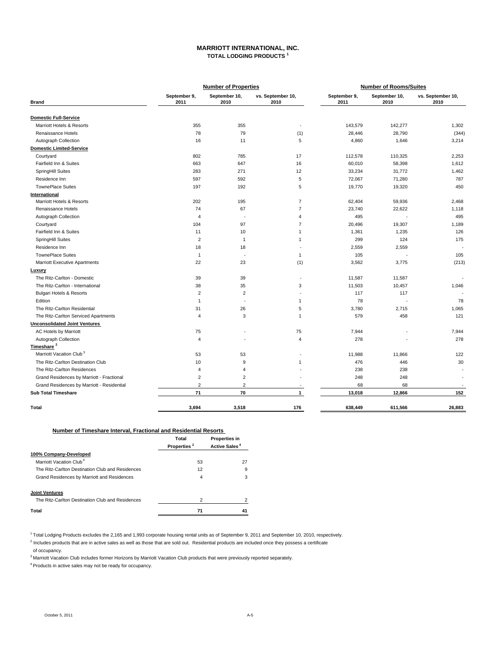#### **MARRIOTT INTERNATIONAL, INC. TOTAL LODGING PRODUCTS <sup>1</sup>**

|                                            |                      | <b>Number of Properties</b> |                           | <b>Number of Rooms/Suites</b> |                       |                           |  |  |
|--------------------------------------------|----------------------|-----------------------------|---------------------------|-------------------------------|-----------------------|---------------------------|--|--|
| <b>Brand</b>                               | September 9,<br>2011 | September 10,<br>2010       | vs. September 10,<br>2010 | September 9,<br>2011          | September 10,<br>2010 | vs. September 10,<br>2010 |  |  |
| <b>Domestic Full-Service</b>               |                      |                             |                           |                               |                       |                           |  |  |
| Marriott Hotels & Resorts                  | 355                  | 355                         | $\sim$                    | 143,579                       | 142,277               | 1,302                     |  |  |
| Renaissance Hotels                         | 78                   | 79                          | (1)                       | 28,446                        | 28,790                | (344)                     |  |  |
| Autograph Collection                       | 16                   | 11                          | 5                         | 4,860                         | 1,646                 | 3,214                     |  |  |
| <b>Domestic Limited-Service</b>            |                      |                             |                           |                               |                       |                           |  |  |
| Courtyard                                  | 802                  | 785                         | 17                        | 112,578                       | 110,325               | 2,253                     |  |  |
| Fairfield Inn & Suites                     | 663                  | 647                         | 16                        | 60,010                        | 58,398                | 1,612                     |  |  |
| SpringHill Suites                          | 283                  | 271                         | 12                        | 33,234                        | 31,772                | 1,462                     |  |  |
| Residence Inn                              | 597                  | 592                         | 5                         | 72,067                        | 71,280                | 787                       |  |  |
| <b>TownePlace Suites</b>                   | 197                  | 192                         | 5                         | 19,770                        | 19,320                | 450                       |  |  |
| International                              |                      |                             |                           |                               |                       |                           |  |  |
| Marriott Hotels & Resorts                  | 202                  | 195                         | $\overline{7}$            | 62,404                        | 59,936                | 2,468                     |  |  |
| Renaissance Hotels                         | 74                   | 67                          | $\overline{7}$            | 23,740                        | 22,622                | 1,118                     |  |  |
| Autograph Collection                       | $\overline{4}$       | ÷.                          | $\overline{4}$            | 495                           |                       | 495                       |  |  |
| Courtyard                                  | 104                  | 97                          | $\overline{7}$            | 20,496                        | 19,307                | 1,189                     |  |  |
| Fairfield Inn & Suites                     | 11                   | 10                          | 1                         | 1,361                         | 1,235                 | 126                       |  |  |
| SpringHill Suites                          | $\overline{2}$       | $\overline{1}$              | $\mathbf{1}$              | 299                           | 124                   | 175                       |  |  |
| Residence Inn                              | 18                   | 18                          | ٠                         | 2,559                         | 2,559                 |                           |  |  |
| <b>TownePlace Suites</b>                   | $\mathbf{1}$         |                             | $\mathbf{1}$              | 105                           |                       | 105                       |  |  |
| <b>Marriott Executive Apartments</b>       | 22                   | 23                          | (1)                       | 3,562                         | 3,775                 | (213)                     |  |  |
| Luxury                                     |                      |                             |                           |                               |                       |                           |  |  |
| The Ritz-Carlton - Domestic                | 39                   | 39                          | $\blacksquare$            | 11,587                        | 11,587                |                           |  |  |
| The Ritz-Carlton - International           | 38                   | 35                          | 3                         | 11,503                        | 10,457                | 1,046                     |  |  |
| <b>Bulgari Hotels &amp; Resorts</b>        | $\overline{2}$       | $\overline{2}$              |                           | 117                           | 117                   |                           |  |  |
| Edition                                    | $\mathbf{1}$         |                             | $\mathbf{1}$              | 78                            |                       | 78                        |  |  |
| The Ritz-Carlton Residential               | 31                   | 26                          | 5                         | 3,780                         | 2,715                 | 1,065                     |  |  |
| The Ritz-Carlton Serviced Apartments       | $\overline{4}$       | 3                           | $\mathbf{1}$              | 579                           | 458                   | 121                       |  |  |
| <b>Unconsolidated Joint Ventures</b>       |                      |                             |                           |                               |                       |                           |  |  |
| AC Hotels by Marriott                      | 75                   |                             | 75                        | 7,944                         |                       | 7,944                     |  |  |
| Autograph Collection                       | $\overline{4}$       |                             | $\overline{4}$            | 278                           |                       | 278                       |  |  |
| Timeshare <sup>2</sup>                     |                      |                             |                           |                               |                       |                           |  |  |
| Marriott Vacation Club <sup>3</sup>        | 53                   | 53                          |                           | 11,988                        | 11,866                | 122                       |  |  |
| The Ritz-Carlton Destination Club          | 10                   | 9                           | 1                         | 476                           | 446                   | 30                        |  |  |
| The Ritz-Carlton Residences                | $\overline{4}$       | 4                           |                           | 238                           | 238                   |                           |  |  |
| Grand Residences by Marriott - Fractional  | $\overline{2}$       | 2                           |                           | 248                           | 248                   |                           |  |  |
| Grand Residences by Marriott - Residential | $\overline{2}$       | 2                           | $\overline{\phantom{a}}$  | 68                            | 68                    | $\sim$                    |  |  |
| <b>Sub Total Timeshare</b>                 | 71                   | 70                          | $\mathbf{1}$              | 13,018                        | 12,866                | 152                       |  |  |
| Total                                      | 3,694                | 3,518                       | 176                       | 638,449                       | 611,566               | 26,883                    |  |  |

#### **Number of Timeshare Interval, Fractional and Residential Resorts**

|                                                  | Total                   | <b>Properties in</b>      |
|--------------------------------------------------|-------------------------|---------------------------|
|                                                  | Properties <sup>2</sup> | Active Sales <sup>4</sup> |
| 100% Company-Developed                           |                         |                           |
| Marriott Vacation Club <sup>4</sup>              | 53                      | 27                        |
| The Ritz-Carlton Destination Club and Residences | 12                      | 9                         |
| Grand Residences by Marriott and Residences      | 4                       | 3                         |
| <b>Joint Ventures</b>                            |                         |                           |
| The Ritz-Carlton Destination Club and Residences | $\overline{2}$          | っ                         |
| Total                                            | 71                      |                           |

 $1$  Total Lodging Products excludes the 2,165 and 1,993 corporate housing rental units as of September 9, 2011 and September 10, 2010, respectively.

 $<sup>2</sup>$  Includes products that are in active sales as well as those that are sold out. Residential products are included once they possess a certificate</sup> of occupancy.

<sup>3</sup> Marriott Vacation Club includes former Horizons by Marriott Vacation Club products that were previously reported separately.

4 Products in active sales may not be ready for occupancy.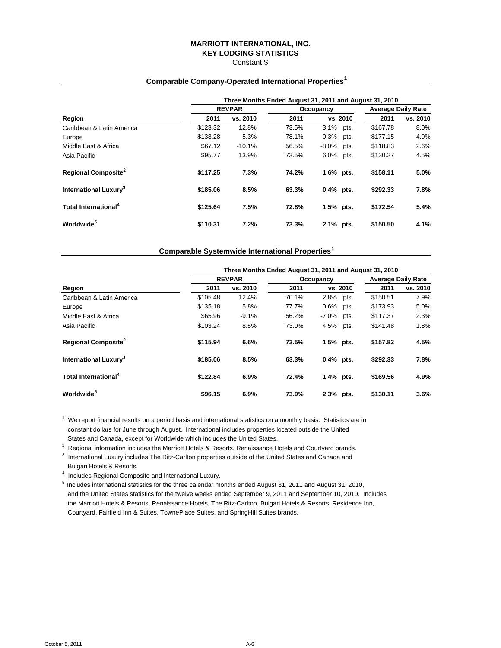#### **MARRIOTT INTERNATIONAL, INC. KEY LODGING STATISTICS** Constant \$

# **Comparable Company-Operated International Properties<sup>1</sup> Three Months Ended August 31, 2011 and August 31, 2010**

|          |          |               |      |           | <b>Average Daily Rate</b>                                                    |          |  |  |  |
|----------|----------|---------------|------|-----------|------------------------------------------------------------------------------|----------|--|--|--|
| 2011     | vs. 2010 | 2011          |      |           | 2011                                                                         | vs. 2010 |  |  |  |
| \$123.32 | 12.8%    | 73.5%         | 3.1% | pts.      | \$167.78                                                                     | 8.0%     |  |  |  |
| \$138.28 | 5.3%     | 78.1%         | 0.3% | pts.      | \$177.15                                                                     | 4.9%     |  |  |  |
| \$67.12  | $-10.1%$ | 56.5%         |      | pts.      | \$118.83                                                                     | 2.6%     |  |  |  |
| \$95.77  | 13.9%    | 73.5%         | 6.0% | pts.      | \$130.27                                                                     | 4.5%     |  |  |  |
| \$117.25 | 7.3%     | 74.2%         |      |           | \$158.11                                                                     | 5.0%     |  |  |  |
| \$185.06 | 8.5%     | 63.3%         |      |           | \$292.33                                                                     | 7.8%     |  |  |  |
| \$125.64 | 7.5%     | 72.8%         |      |           | \$172.54                                                                     | 5.4%     |  |  |  |
| \$110.31 | 7.2%     | 73.3%         |      |           | \$150.50                                                                     | 4.1%     |  |  |  |
|          |          | <b>REVPAR</b> |      | Occupancy | vs. 2010<br>$-8.0\%$<br>1.6% pts.<br>$0.4%$ pts.<br>$1.5%$ pts.<br>2.1% pts. |          |  |  |  |

#### **Comparable Systemwide International Properties<sup>1</sup>**

|                                   |          | Three Months Ended August 31, 2011 and August 31, 2010 |       |             |          |                           |          |  |  |  |  |
|-----------------------------------|----------|--------------------------------------------------------|-------|-------------|----------|---------------------------|----------|--|--|--|--|
|                                   |          | <b>REVPAR</b>                                          |       | Occupancy   |          | <b>Average Daily Rate</b> |          |  |  |  |  |
| Region                            | 2011     | vs. 2010                                               | 2011  |             | vs. 2010 | 2011                      | vs. 2010 |  |  |  |  |
| Caribbean & Latin America         | \$105.48 | 12.4%                                                  | 70.1% | 2.8%        | pts.     | \$150.51                  | 7.9%     |  |  |  |  |
| Europe                            | \$135.18 | 5.8%                                                   | 77.7% | 0.6%        | pts.     | \$173.93                  | 5.0%     |  |  |  |  |
| Middle East & Africa              | \$65.96  | $-9.1%$                                                | 56.2% | $-7.0\%$    | pts.     | \$117.37                  | 2.3%     |  |  |  |  |
| Asia Pacific                      | \$103.24 | 8.5%                                                   | 73.0% | 4.5%        | pts.     | \$141.48                  | 1.8%     |  |  |  |  |
| Regional Composite <sup>2</sup>   | \$115.94 | 6.6%                                                   | 73.5% | 1.5% pts.   |          | \$157.82                  | 4.5%     |  |  |  |  |
| International Luxury <sup>3</sup> | \$185.06 | 8.5%                                                   | 63.3% | $0.4%$ pts. |          | \$292.33                  | 7.8%     |  |  |  |  |
| Total International <sup>4</sup>  | \$122.84 | 6.9%                                                   | 72.4% | 1.4% pts.   |          | \$169.56                  | 4.9%     |  |  |  |  |
| Worldwide <sup>5</sup>            | \$96.15  | 6.9%                                                   | 73.9% | 2.3% pts.   |          | \$130.11                  | 3.6%     |  |  |  |  |

 $1$  We report financial results on a period basis and international statistics on a monthly basis. Statistics are in constant dollars for June through August. International includes properties located outside the United States and Canada, except for Worldwide which includes the United States.

<sup>2</sup> Regional information includes the Marriott Hotels & Resorts, Renaissance Hotels and Courtyard brands.<br><sup>3</sup> International Luxury includes The Bitz Carlies preparties eutside of the United States and Conade and  $3$  International Luxury includes The Ritz-Carlton properties outside of the United States and Canada and Bulgari Hotels & Resorts.

<sup>4</sup> Includes Regional Composite and International Luxury.

5 Includes international statistics for the three calendar months ended August 31, 2011 and August 31, 2010, and the United States statistics for the twelve weeks ended September 9, 2011 and September 10, 2010. Includes the Marriott Hotels & Resorts, Renaissance Hotels, The Ritz-Carlton, Bulgari Hotels & Resorts, Residence Inn, Courtyard, Fairfield Inn & Suites, TownePlace Suites, and SpringHill Suites brands.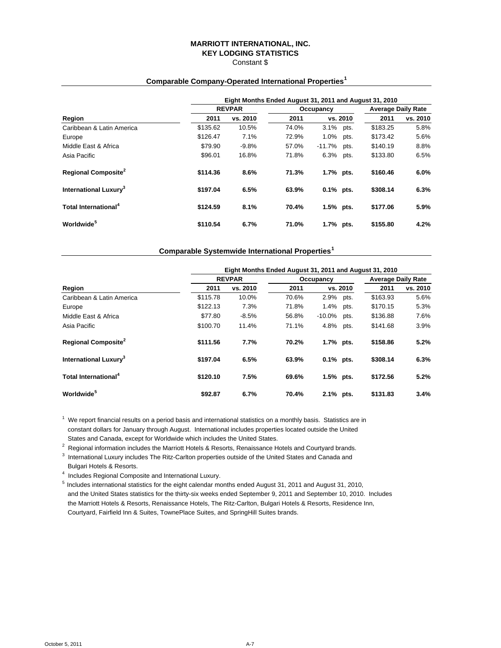#### **MARRIOTT INTERNATIONAL, INC. KEY LODGING STATISTICS** Constant \$

# **Eight Months Ended August 31, 2011 and August 31, 2010 REVPAR COCUPAR OCCUPACE Average Daily Rate Region 2011 vs. 2010 2011 vs. 2010 2011 vs. 2010** Caribbean & Latin America \$135.62 10.5% 74.0% 3.1% pts. \$183.25 5.8% Europe \$126.47 7.1% 72.9% 1.0% pts. \$173.42 5.6% Middle East & Africa \$79.90 -9.8% 57.0% -11.7% pts. \$140.19 8.8% Asia Pacific \$96.01 16.8% 71.8% 6.3% pts. \$133.80 6.5% **Regional Composite<sup>2</sup> \$114.36 8.6% 71.3% 1.7% pts. \$160.46 6.0% International Luxury3 \$197.04 6.5% 63.9% 0.1% pts. \$308.14 6.3% Total International<sup>4</sup> \$124.59 8.1% 70.4% 1.5% pts. \$177.06 5.9% Worldwide<sup>5</sup> \$110.54 6.7% 71.0% 1.7% pts. \$155.80 4.2%**

## **Comparable Company-Operated International Properties<sup>1</sup>**

#### **Comparable Systemwide International Properties<sup>1</sup>**

|                                        |          | Eight Months Ended August 31, 2011 and August 31, 2010 |       |              |                           |          |          |  |  |  |  |
|----------------------------------------|----------|--------------------------------------------------------|-------|--------------|---------------------------|----------|----------|--|--|--|--|
|                                        |          | <b>REVPAR</b>                                          |       | Occupancy    | <b>Average Daily Rate</b> |          |          |  |  |  |  |
| Region                                 | 2011     | vs. 2010                                               | 2011  |              | vs. 2010                  | 2011     | vs. 2010 |  |  |  |  |
| Caribbean & Latin America              | \$115.78 | 10.0%                                                  | 70.6% | 2.9%         | pts.                      | \$163.93 | 5.6%     |  |  |  |  |
| Europe                                 | \$122.13 | 7.3%                                                   | 71.8% | 1.4%         | pts.                      | \$170.15 | 5.3%     |  |  |  |  |
| Middle East & Africa                   | \$77.80  | $-8.5%$                                                | 56.8% | $-10.0\%$    | pts.                      | \$136.88 | 7.6%     |  |  |  |  |
| Asia Pacific                           | \$100.70 | 11.4%                                                  | 71.1% | 4.8%         | pts.                      | \$141.68 | 3.9%     |  |  |  |  |
| <b>Regional Composite</b> <sup>2</sup> | \$111.56 | 7.7%                                                   | 70.2% | 1.7% pts.    |                           | \$158.86 | 5.2%     |  |  |  |  |
| International Luxury <sup>3</sup>      | \$197.04 | 6.5%                                                   | 63.9% | $0.1\%$ pts. |                           | \$308.14 | 6.3%     |  |  |  |  |
| Total International <sup>4</sup>       | \$120.10 | 7.5%                                                   | 69.6% | 1.5% pts.    |                           | \$172.56 | 5.2%     |  |  |  |  |
| Worldwide <sup>5</sup>                 | \$92.87  | 6.7%                                                   | 70.4% | 2.1% pts.    |                           | \$131.83 | 3.4%     |  |  |  |  |

 $1$  We report financial results on a period basis and international statistics on a monthly basis. Statistics are in constant dollars for January through August. International includes properties located outside the United States and Canada, except for Worldwide which includes the United States.

<sup>2</sup> Regional information includes the Marriott Hotels & Resorts, Renaissance Hotels and Courtyard brands.<br><sup>3</sup> International Luxury includes The Bitz Carlies preparties eutside of the United States and Conade and

 $3$  International Luxury includes The Ritz-Carlton properties outside of the United States and Canada and Bulgari Hotels & Resorts.

<sup>4</sup> Includes Regional Composite and International Luxury.

5 Includes international statistics for the eight calendar months ended August 31, 2011 and August 31, 2010, and the United States statistics for the thirty-six weeks ended September 9, 2011 and September 10, 2010. Includes the Marriott Hotels & Resorts, Renaissance Hotels, The Ritz-Carlton, Bulgari Hotels & Resorts, Residence Inn, Courtyard, Fairfield Inn & Suites, TownePlace Suites, and SpringHill Suites brands.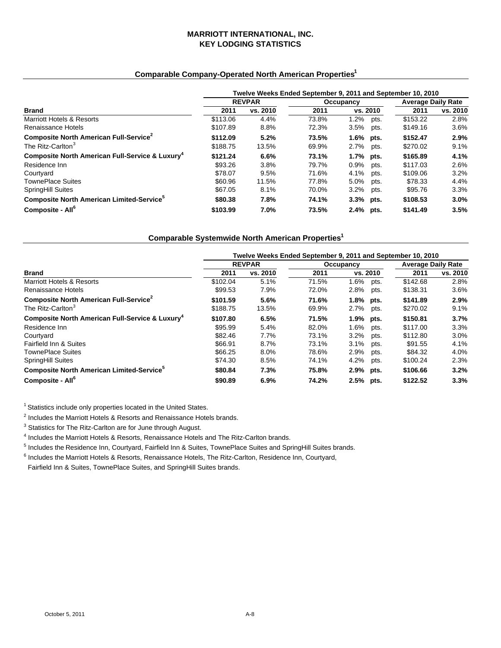## **MARRIOTT INTERNATIONAL, INC. KEY LODGING STATISTICS**

## **Comparable Company-Operated North American Properties1**

|                                                             | Twelve Weeks Ended September 9, 2011 and September 10, 2010 |          |           |              |      |                           |          |  |  |  |
|-------------------------------------------------------------|-------------------------------------------------------------|----------|-----------|--------------|------|---------------------------|----------|--|--|--|
|                                                             | <b>REVPAR</b>                                               |          | Occupancy |              |      | <b>Average Daily Rate</b> |          |  |  |  |
| <b>Brand</b>                                                | 2011                                                        | vs. 2010 | 2011      | vs. 2010     |      | 2011                      | vs. 2010 |  |  |  |
| <b>Marriott Hotels &amp; Resorts</b>                        | \$113.06                                                    | 4.4%     | 73.8%     | 1.2%         | pts. | \$153.22                  | 2.8%     |  |  |  |
| Renaissance Hotels                                          | \$107.89                                                    | 8.8%     | 72.3%     | 3.5%         | pts. | \$149.16                  | $3.6\%$  |  |  |  |
| Composite North American Full-Service <sup>2</sup>          | \$112.09                                                    | 5.2%     | 73.5%     | $1.6\%$ pts. |      | \$152.47                  | 2.9%     |  |  |  |
| The Ritz-Carlton <sup>3</sup>                               | \$188.75                                                    | 13.5%    | 69.9%     | $2.7\%$      | pts. | \$270.02                  | 9.1%     |  |  |  |
| Composite North American Full-Service & Luxury <sup>4</sup> | \$121.24                                                    | 6.6%     | 73.1%     | 1.7% pts.    |      | \$165.89                  | 4.1%     |  |  |  |
| Residence Inn                                               | \$93.26                                                     | 3.8%     | 79.7%     | $0.9\%$      | pts. | \$117.03                  | 2.6%     |  |  |  |
| Courtyard                                                   | \$78.07                                                     | 9.5%     | 71.6%     | 4.1%         | pts. | \$109.06                  | 3.2%     |  |  |  |
| <b>TownePlace Suites</b>                                    | \$60.96                                                     | 11.5%    | 77.8%     | 5.0%         | pts. | \$78.33                   | 4.4%     |  |  |  |
| <b>SpringHill Suites</b>                                    | \$67.05                                                     | 8.1%     | 70.0%     | 3.2%         | pts. | \$95.76                   | 3.3%     |  |  |  |
| Composite North American Limited-Service <sup>5</sup>       | \$80.38                                                     | 7.8%     | 74.1%     | 3.3% pts.    |      | \$108.53                  | $3.0\%$  |  |  |  |
| Composite - All <sup>6</sup>                                | \$103.99                                                    | 7.0%     | 73.5%     | 2.4% pts.    |      | \$141.49                  | 3.5%     |  |  |  |

## **Comparable Systemwide North American Properties1**

|                                                             | Twelve Weeks Ended September 9, 2011 and September 10, 2010 |               |       |              |      |                           |          |  |  |  |
|-------------------------------------------------------------|-------------------------------------------------------------|---------------|-------|--------------|------|---------------------------|----------|--|--|--|
|                                                             |                                                             | <b>REVPAR</b> |       | Occupancy    |      | <b>Average Daily Rate</b> |          |  |  |  |
| <b>Brand</b>                                                | 2011                                                        | vs. 2010      | 2011  | vs. 2010     |      | 2011                      | vs. 2010 |  |  |  |
| <b>Marriott Hotels &amp; Resorts</b>                        | \$102.04                                                    | 5.1%          | 71.5% | $1.6\%$      | pts. | \$142.68                  | 2.8%     |  |  |  |
| Renaissance Hotels                                          | \$99.53                                                     | 7.9%          | 72.0% | 2.8%         | pts. | \$138.31                  | 3.6%     |  |  |  |
| Composite North American Full-Service <sup>2</sup>          | \$101.59                                                    | 5.6%          | 71.6% | $1.8\%$ pts. |      | \$141.89                  | 2.9%     |  |  |  |
| The Ritz-Carlton <sup>3</sup>                               | \$188.75                                                    | 13.5%         | 69.9% | 2.7%         | pts. | \$270.02                  | 9.1%     |  |  |  |
| Composite North American Full-Service & Luxury <sup>4</sup> | \$107.80                                                    | 6.5%          | 71.5% | 1.9% pts.    |      | \$150.81                  | 3.7%     |  |  |  |
| Residence Inn                                               | \$95.99                                                     | 5.4%          | 82.0% | 1.6%         | pts. | \$117.00                  | 3.3%     |  |  |  |
| Courtyard                                                   | \$82.46                                                     | 7.7%          | 73.1% | 3.2%         | pts. | \$112.80                  | 3.0%     |  |  |  |
| Fairfield Inn & Suites                                      | \$66.91                                                     | 8.7%          | 73.1% | 3.1%         | pts. | \$91.55                   | 4.1%     |  |  |  |
| <b>TownePlace Suites</b>                                    | \$66.25                                                     | 8.0%          | 78.6% | 2.9%         | pts. | \$84.32                   | 4.0%     |  |  |  |
| SpringHill Suites                                           | \$74.30                                                     | 8.5%          | 74.1% | 4.2%         | pts. | \$100.24                  | 2.3%     |  |  |  |
| Composite North American Limited-Service <sup>5</sup>       | \$80.84                                                     | 7.3%          | 75.8% | 2.9% pts.    |      | \$106.66                  | 3.2%     |  |  |  |
| Composite - All <sup>6</sup>                                | \$90.89                                                     | 6.9%          | 74.2% | 2.5% pts.    |      | \$122.52                  | 3.3%     |  |  |  |

<sup>1</sup> Statistics include only properties located in the United States.

<sup>2</sup> Includes the Marriott Hotels & Resorts and Renaissance Hotels brands.<br><sup>3</sup> Statistics for The Bitz Carlton are for June through August.

<sup>3</sup> Statistics for The Ritz-Carlton are for June through August.

<sup>4</sup> Includes the Marriott Hotels & Resorts, Renaissance Hotels and The Ritz-Carlton brands.

<sup>4</sup> Includes the Marriott Hotels & Resorts, Renaissance Hotels and The Ritz-Carlton brands.<br><sup>5</sup> Includes the Residence Inn, Courtyard, Fairfield Inn & Suites, TownePlace Suites and SpringHill Suites brands.

<sup>6</sup> Includes the Marriott Hotels & Resorts, Renaissance Hotels, The Ritz-Carlton, Residence Inn, Courtyard,

Fairfield Inn & Suites, TownePlace Suites, and SpringHill Suites brands.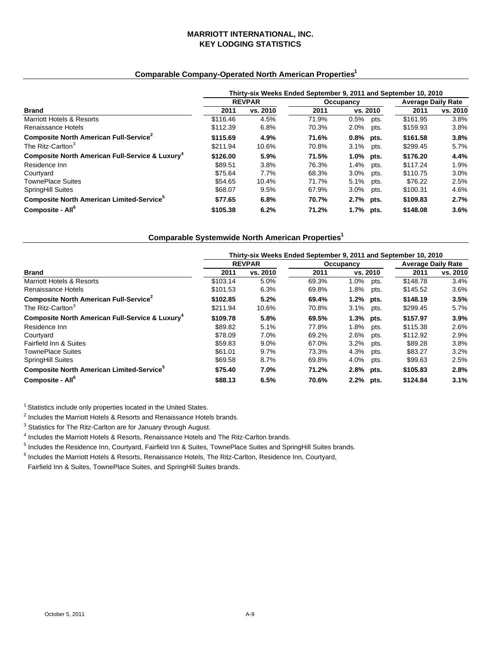#### **MARRIOTT INTERNATIONAL, INC. KEY LODGING STATISTICS**

## **Comparable Company-Operated North American Properties1**

|                                                             | Thirty-six Weeks Ended September 9, 2011 and September 10, 2010 |               |           |              |      |                           |          |  |  |  |
|-------------------------------------------------------------|-----------------------------------------------------------------|---------------|-----------|--------------|------|---------------------------|----------|--|--|--|
|                                                             |                                                                 | <b>REVPAR</b> | Occupancy |              |      | <b>Average Daily Rate</b> |          |  |  |  |
| <b>Brand</b>                                                | 2011                                                            | vs. 2010      | 2011      | vs. 2010     |      | 2011                      | vs. 2010 |  |  |  |
| Marriott Hotels & Resorts                                   | \$116.46                                                        | 4.5%          | 71.9%     | 0.5%         | pts. | \$161.95                  | 3.8%     |  |  |  |
| Renaissance Hotels                                          | \$112.39                                                        | 6.8%          | 70.3%     | 2.0%         | pts. | \$159.93                  | 3.8%     |  |  |  |
| Composite North American Full-Service <sup>2</sup>          | \$115.69                                                        | 4.9%          | 71.6%     | $0.8\%$ pts. |      | \$161.58                  | 3.8%     |  |  |  |
| The Ritz-Carlton <sup>3</sup>                               | \$211.94                                                        | 10.6%         | 70.8%     | 3.1%         | pts. | \$299.45                  | $5.7\%$  |  |  |  |
| Composite North American Full-Service & Luxury <sup>4</sup> | \$126.00                                                        | 5.9%          | 71.5%     | 1.0% pts.    |      | \$176.20                  | 4.4%     |  |  |  |
| Residence Inn                                               | \$89.51                                                         | 3.8%          | 76.3%     | $1.4\%$      | pts. | \$117.24                  | 1.9%     |  |  |  |
| Courtyard                                                   | \$75.64                                                         | 7.7%          | 68.3%     | 3.0%         | pts. | \$110.75                  | $3.0\%$  |  |  |  |
| <b>TownePlace Suites</b>                                    | \$54.65                                                         | 10.4%         | 71.7%     | 5.1%         | pts. | \$76.22                   | 2.5%     |  |  |  |
| <b>SpringHill Suites</b>                                    | \$68.07                                                         | 9.5%          | 67.9%     | 3.0%         | pts. | \$100.31                  | 4.6%     |  |  |  |
| Composite North American Limited-Service <sup>5</sup>       | \$77.65                                                         | 6.8%          | 70.7%     | 2.7% pts.    |      | \$109.83                  | 2.7%     |  |  |  |
| Composite - All <sup>6</sup>                                | \$105.38                                                        | 6.2%          | 71.2%     | 1.7% pts.    |      | \$148.08                  | 3.6%     |  |  |  |

## **Comparable Systemwide North American Properties1**

|                                                             | Thirty-six Weeks Ended September 9, 2011 and September 10, 2010 |               |       |              |                           |          |          |  |  |
|-------------------------------------------------------------|-----------------------------------------------------------------|---------------|-------|--------------|---------------------------|----------|----------|--|--|
|                                                             |                                                                 | <b>REVPAR</b> |       | Occupancy    | <b>Average Daily Rate</b> |          |          |  |  |
| <b>Brand</b>                                                | 2011                                                            | vs. 2010      | 2011  | vs. 2010     |                           | 2011     | vs. 2010 |  |  |
| Marriott Hotels & Resorts                                   | \$103.14                                                        | 5.0%          | 69.3% | 1.0%         | pts.                      | \$148.78 | 3.4%     |  |  |
| Renaissance Hotels                                          | \$101.53                                                        | 6.3%          | 69.8% | 1.8%         | pts.                      | \$145.52 | 3.6%     |  |  |
| Composite North American Full-Service <sup>2</sup>          | \$102.85                                                        | 5.2%          | 69.4% | $1.2\%$ pts. |                           | \$148.19 | 3.5%     |  |  |
| The Ritz-Carlton <sup>3</sup>                               | \$211.94                                                        | 10.6%         | 70.8% | 3.1%         | pts.                      | \$299.45 | 5.7%     |  |  |
| Composite North American Full-Service & Luxury <sup>4</sup> | \$109.78                                                        | 5.8%          | 69.5% | 1.3% pts.    |                           | \$157.97 | $3.9\%$  |  |  |
| Residence Inn                                               | \$89.82                                                         | 5.1%          | 77.8% | 1.8%         | pts.                      | \$115.38 | 2.6%     |  |  |
| Courtyard                                                   | \$78.09                                                         | 7.0%          | 69.2% | 2.6%         | pts.                      | \$112.92 | 2.9%     |  |  |
| Fairfield Inn & Suites                                      | \$59.83                                                         | $9.0\%$       | 67.0% | 3.2%         | pts.                      | \$89.28  | 3.8%     |  |  |
| <b>TownePlace Suites</b>                                    | \$61.01                                                         | 9.7%          | 73.3% | 4.3%         | pts.                      | \$83.27  | 3.2%     |  |  |
| <b>SpringHill Suites</b>                                    | \$69.58                                                         | 8.7%          | 69.8% | 4.0%         | pts.                      | \$99.63  | 2.5%     |  |  |
| Composite North American Limited-Service <sup>5</sup>       | \$75.40                                                         | 7.0%          | 71.2% | 2.8% pts.    |                           | \$105.83 | 2.8%     |  |  |
| Composite - All <sup>6</sup>                                | \$88.13                                                         | 6.5%          | 70.6% | 2.2% pts.    |                           | \$124.84 | 3.1%     |  |  |

<sup>1</sup> Statistics include only properties located in the United States.

<sup>2</sup> Includes the Marriott Hotels & Resorts and Renaissance Hotels brands.<br><sup>3</sup> Statistics for The Ditz Carlton are for January through August.

<sup>3</sup> Statistics for The Ritz-Carlton are for January through August.

<sup>4</sup> Includes the Marriott Hotels & Resorts, Renaissance Hotels and The Ritz-Carlton brands.<br><sup>5</sup> Includes the Bosidence Inn, Courtuard, Feirfield Inn & Suites, TourePlace Suites and Sar

 $<sup>5</sup>$  Includes the Residence Inn, Courtyard, Fairfield Inn & Suites, TownePlace Suites and SpringHill Suites brands.</sup>

<sup>6</sup> Includes the Marriott Hotels & Resorts, Renaissance Hotels, The Ritz-Carlton, Residence Inn, Courtyard,

Fairfield Inn & Suites, TownePlace Suites, and SpringHill Suites brands.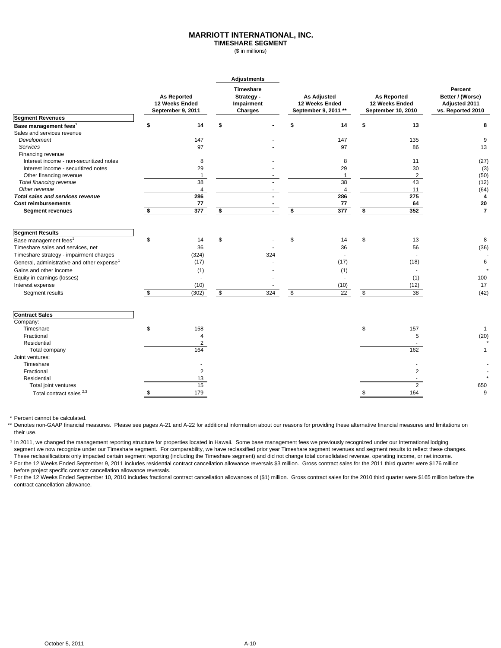#### **MARRIOTT INTERNATIONAL, INC.**

**TIMESHARE SEGMENT** (\$ in millions)

|                                                        |                                                           |    | <b>Adjustments</b>                                                                                                                     |    |                  |    |                                      |                |  |                                                                   |
|--------------------------------------------------------|-----------------------------------------------------------|----|----------------------------------------------------------------------------------------------------------------------------------------|----|------------------|----|--------------------------------------|----------------|--|-------------------------------------------------------------------|
|                                                        | <b>As Reported</b><br>12 Weeks Ended<br>September 9, 2011 |    | Timeshare<br><b>As Adjusted</b><br><b>As Reported</b><br>Strategy -<br>Impairment<br>12 Weeks Ended<br>September 9, 2011 **<br>Charges |    |                  |    | 12 Weeks Ended<br>September 10, 2010 |                |  | Percent<br>Better / (Worse)<br>Adjusted 2011<br>vs. Reported 2010 |
| <b>Segment Revenues</b>                                |                                                           |    |                                                                                                                                        |    |                  |    |                                      |                |  |                                                                   |
| Base management fees <sup>1</sup>                      | \$<br>14                                                  | \$ |                                                                                                                                        |    | 14               | \$ | 13                                   | 8              |  |                                                                   |
| Sales and services revenue                             |                                                           |    |                                                                                                                                        |    |                  |    |                                      |                |  |                                                                   |
| Development                                            | 147                                                       |    |                                                                                                                                        |    | 147              |    | 135                                  | 9              |  |                                                                   |
| Services                                               | 97                                                        |    |                                                                                                                                        |    | 97               |    | 86                                   | 13             |  |                                                                   |
| Financing revenue                                      |                                                           |    |                                                                                                                                        |    |                  |    |                                      |                |  |                                                                   |
| Interest income - non-securitized notes                | 8                                                         |    |                                                                                                                                        |    | 8                |    | 11                                   | (27)           |  |                                                                   |
| Interest income - securitized notes                    | 29                                                        |    |                                                                                                                                        |    | 29               |    | 30                                   | (3)            |  |                                                                   |
| Other financing revenue                                | $\mathbf{1}$                                              |    |                                                                                                                                        |    | $\mathbf{1}$     |    | $\overline{c}$                       | (50)           |  |                                                                   |
| Total financing revenue                                | 38                                                        |    |                                                                                                                                        |    | 38               |    | 43                                   | (12)           |  |                                                                   |
| Other revenue                                          | 4                                                         |    |                                                                                                                                        |    | 4                |    | 11                                   | (64)           |  |                                                                   |
| <b>Total sales and services revenue</b>                | 286                                                       |    |                                                                                                                                        |    | 286              |    | $\overline{275}$                     | $\overline{4}$ |  |                                                                   |
| <b>Cost reimbursements</b>                             | 77                                                        |    |                                                                                                                                        |    | 77               |    | 64                                   | 20             |  |                                                                   |
| <b>Segment revenues</b>                                | $\overline{377}$                                          | \$ |                                                                                                                                        | \$ | $\overline{377}$ | \$ | 352                                  | $\overline{7}$ |  |                                                                   |
| <b>Segment Results</b>                                 |                                                           |    |                                                                                                                                        |    |                  |    |                                      |                |  |                                                                   |
| Base management fees <sup>1</sup>                      | \$<br>14                                                  | \$ |                                                                                                                                        | \$ | 14               | \$ | 13                                   | 8              |  |                                                                   |
| Timeshare sales and services, net                      | 36                                                        |    |                                                                                                                                        |    | 36               |    | 56                                   | (36)           |  |                                                                   |
| Timeshare strategy - impairment charges                | (324)                                                     |    | 324                                                                                                                                    |    | $\overline{a}$   |    |                                      |                |  |                                                                   |
| General, administrative and other expense <sup>1</sup> | (17)                                                      |    |                                                                                                                                        |    | (17)             |    | (18)                                 | 6              |  |                                                                   |
| Gains and other income                                 | (1)                                                       |    |                                                                                                                                        |    | (1)              |    |                                      |                |  |                                                                   |
| Equity in earnings (losses)                            |                                                           |    |                                                                                                                                        |    |                  |    | (1)                                  | 100            |  |                                                                   |
| Interest expense                                       | (10)                                                      |    |                                                                                                                                        |    | (10)             |    | (12)                                 | 17             |  |                                                                   |
|                                                        |                                                           |    |                                                                                                                                        |    |                  |    |                                      |                |  |                                                                   |
| Segment results                                        | \$<br>(302)                                               | \$ | 324                                                                                                                                    | \$ | $\overline{22}$  | \$ | 38                                   | (42)           |  |                                                                   |
| <b>Contract Sales</b>                                  |                                                           |    |                                                                                                                                        |    |                  |    |                                      |                |  |                                                                   |
| Company:                                               |                                                           |    |                                                                                                                                        |    |                  |    |                                      |                |  |                                                                   |
| Timeshare                                              | \$<br>158                                                 |    |                                                                                                                                        |    |                  | \$ | 157                                  | $\overline{1}$ |  |                                                                   |
| Fractional                                             | $\overline{4}$                                            |    |                                                                                                                                        |    |                  |    | 5                                    | (20)           |  |                                                                   |
| Residential                                            | $\overline{c}$                                            |    |                                                                                                                                        |    |                  |    |                                      |                |  |                                                                   |
| Total company                                          | 164                                                       |    |                                                                                                                                        |    |                  |    | 162                                  | $\mathbf{1}$   |  |                                                                   |
| Joint ventures:                                        |                                                           |    |                                                                                                                                        |    |                  |    |                                      |                |  |                                                                   |
| Timeshare                                              |                                                           |    |                                                                                                                                        |    |                  |    |                                      |                |  |                                                                   |
| Fractional                                             | 2                                                         |    |                                                                                                                                        |    |                  |    | $\overline{2}$                       |                |  |                                                                   |
| Residential                                            | 13                                                        |    |                                                                                                                                        |    |                  |    |                                      |                |  |                                                                   |
| Total joint ventures                                   | 15                                                        |    |                                                                                                                                        |    |                  |    | $\overline{2}$                       | 650            |  |                                                                   |
| Total contract sales <sup>2,3</sup>                    | \$<br>179                                                 |    |                                                                                                                                        |    |                  | \$ | 164                                  | 9              |  |                                                                   |

\* Percent cannot be calculated.

\*\* Denotes non-GAAP financial measures. Please see pages A-21 and A-22 for additional information about our reasons for providing these alternative financial measures and limitations on their use.

<sup>1</sup> In 2011, we changed the management reporting structure for properties located in Hawaii. Some base management fees we previously recognized under our International lodging segment we now recognize under our Timeshare segment. For comparability, we have reclassified prior year Timeshare segment revenues and segment results to reflect these changes. These reclassifications only impacted certain segment reporting (including the Timeshare segment) and did not change total consolidated revenue, operating income, or net income.

<sup>2</sup> For the 12 Weeks Ended September 9, 2011 includes residential contract cancellation allowance reversals \$3 million. Gross contract sales for the 2011 third quarter were \$176 million before project specific contract cancellation allowance reversals.

<sup>3</sup> For the 12 Weeks Ended September 10, 2010 includes fractional contract cancellation allowances of (\$1) million. Gross contract sales for the 2010 third quarter were \$165 million before the contract cancellation allowance.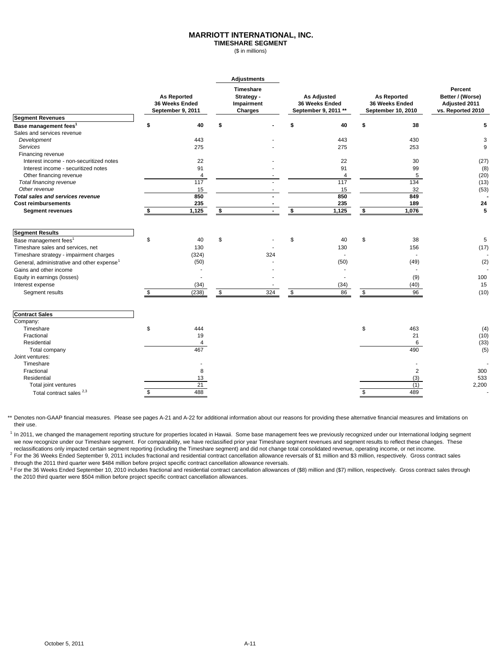#### **MARRIOTT INTERNATIONAL, INC.**

**TIMESHARE SEGMENT** (\$ in millions)

|                                                        |                                                           | <b>Adjustments</b>                               |                                                              |                         |                                                            |                |                                                                   |
|--------------------------------------------------------|-----------------------------------------------------------|--------------------------------------------------|--------------------------------------------------------------|-------------------------|------------------------------------------------------------|----------------|-------------------------------------------------------------------|
|                                                        | <b>As Reported</b><br>36 Weeks Ended<br>September 9, 2011 | Timeshare<br>Strategy -<br>Impairment<br>Charges | <b>As Adjusted</b><br>36 Weeks Ended<br>September 9, 2011 ** |                         | <b>As Reported</b><br>36 Weeks Ended<br>September 10, 2010 |                | Percent<br>Better / (Worse)<br>Adjusted 2011<br>vs. Reported 2010 |
| <b>Segment Revenues</b>                                |                                                           |                                                  |                                                              |                         |                                                            |                |                                                                   |
| Base management fees <sup>1</sup>                      | \$<br>40                                                  | \$                                               |                                                              | 40                      | \$                                                         | 38             | 5                                                                 |
| Sales and services revenue                             |                                                           |                                                  |                                                              |                         |                                                            |                |                                                                   |
| Development                                            | 443                                                       |                                                  |                                                              | 443                     |                                                            | 430            | 3                                                                 |
| Services                                               | 275                                                       |                                                  |                                                              | 275                     |                                                            | 253            | 9                                                                 |
| Financing revenue                                      |                                                           |                                                  |                                                              |                         |                                                            |                |                                                                   |
| Interest income - non-securitized notes                | 22                                                        |                                                  |                                                              | 22                      |                                                            | 30             | (27)                                                              |
| Interest income - securitized notes                    | 91                                                        |                                                  |                                                              | 91                      |                                                            | 99             | (8)                                                               |
| Other financing revenue                                | $\overline{4}$                                            |                                                  |                                                              | $\overline{\mathbf{4}}$ |                                                            | 5              | (20)                                                              |
| Total financing revenue                                | 117                                                       |                                                  |                                                              | 117                     |                                                            | 134            | (13)                                                              |
| Other revenue                                          | 15                                                        |                                                  |                                                              | 15                      |                                                            | 32             | (53)                                                              |
| <b>Total sales and services revenue</b>                | 850                                                       |                                                  |                                                              | 850                     |                                                            | 849            |                                                                   |
| <b>Cost reimbursements</b>                             | 235                                                       |                                                  |                                                              | 235                     |                                                            | 189            | 24                                                                |
| <b>Segment revenues</b>                                | 1,125                                                     | \$                                               | \$                                                           | 1,125                   | \$                                                         | 1,076          | 5                                                                 |
| <b>Segment Results</b>                                 |                                                           |                                                  |                                                              |                         |                                                            |                |                                                                   |
| Base management fees <sup>1</sup>                      | \$<br>40                                                  | \$                                               | \$                                                           | 40                      | \$                                                         | 38             | 5                                                                 |
| Timeshare sales and services, net                      | 130                                                       |                                                  |                                                              | 130                     |                                                            | 156            | (17)                                                              |
| Timeshare strategy - impairment charges                | (324)                                                     | 324                                              |                                                              |                         |                                                            |                |                                                                   |
| General, administrative and other expense <sup>1</sup> | (50)                                                      |                                                  |                                                              | (50)                    |                                                            | (49)           | (2)                                                               |
| Gains and other income                                 |                                                           |                                                  |                                                              |                         |                                                            |                |                                                                   |
| Equity in earnings (losses)                            |                                                           |                                                  |                                                              |                         |                                                            | (9)            | 100                                                               |
| Interest expense                                       | (34)                                                      |                                                  |                                                              |                         |                                                            | (40)           | 15                                                                |
|                                                        |                                                           |                                                  |                                                              | (34)                    |                                                            |                |                                                                   |
| Segment results                                        | \$<br>(238)                                               | \$<br>324                                        | \$                                                           | 86                      | \$                                                         | 96             | (10)                                                              |
| <b>Contract Sales</b>                                  |                                                           |                                                  |                                                              |                         |                                                            |                |                                                                   |
| Company:                                               |                                                           |                                                  |                                                              |                         |                                                            |                |                                                                   |
| Timeshare                                              | \$<br>444                                                 |                                                  |                                                              |                         | \$                                                         | 463            | (4)                                                               |
| Fractional                                             | 19                                                        |                                                  |                                                              |                         |                                                            | 21             | (10)                                                              |
| Residential                                            | 4                                                         |                                                  |                                                              |                         |                                                            | 6              | (33)                                                              |
| Total company                                          | 467                                                       |                                                  |                                                              |                         |                                                            | 490            | (5)                                                               |
| Joint ventures:                                        |                                                           |                                                  |                                                              |                         |                                                            |                |                                                                   |
| Timeshare                                              |                                                           |                                                  |                                                              |                         |                                                            |                |                                                                   |
| Fractional                                             | 8                                                         |                                                  |                                                              |                         |                                                            | $\overline{2}$ | 300                                                               |
| Residential                                            | 13                                                        |                                                  |                                                              |                         |                                                            | (3)            | 533                                                               |
| Total joint ventures                                   | $\overline{21}$                                           |                                                  |                                                              |                         |                                                            | (1)            | 2,200                                                             |
| Total contract sales <sup>2,3</sup>                    | \$<br>488                                                 |                                                  |                                                              |                         | \$                                                         | 489            |                                                                   |

\*\* Denotes non-GAAP financial measures. Please see pages A-21 and A-22 for additional information about our reasons for providing these alternative financial measures and limitations on their use.

<sup>1</sup> In 2011, we changed the management reporting structure for properties located in Hawaii. Some base management fees we previously recognized under our International lodging segment we now recognize under our Timeshare segment. For comparability, we have reclassified prior year Timeshare segment revenues and segment results to reflect these changes. These reclassifications only impacted certain segment reporting (including the Timeshare segment) and did not change total consolidated revenue, operating income, or net income.

 $^2$  For the 36 Weeks Ended September 9, 2011 includes fractional and residential contract cancellation allowance reversals of \$1 million and \$3 million, respectively. Gross contract sales through the 2011 third quarter were \$484 million before project specific contract cancellation allowance reversals.

<sup>3</sup> For the 36 Weeks Ended September 10, 2010 includes fractional and residential contract cancellation allowances of (\$8) million and (\$7) million, respectively. Gross contract sales through

the 2010 third quarter were \$504 million before project specific contract cancellation allowances.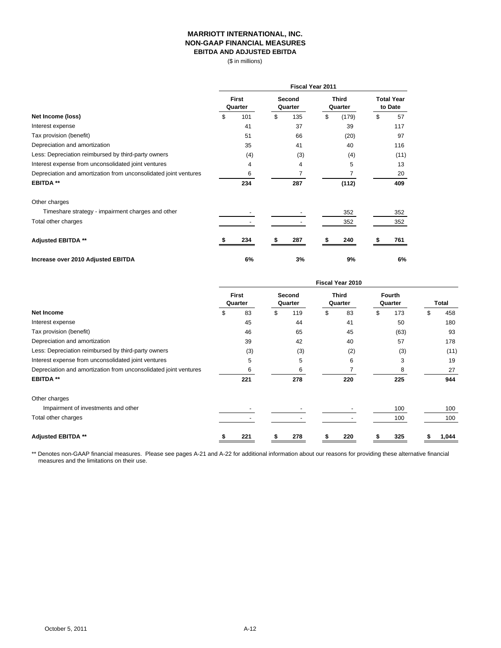#### **MARRIOTT INTERNATIONAL, INC. NON-GAAP FINANCIAL MEASURES EBITDA AND ADJUSTED EBITDA**

(\$ in millions)

|                                                                  | <b>Fiscal Year 2011</b> |                         |    |                   |    |                         |    |                              |  |  |
|------------------------------------------------------------------|-------------------------|-------------------------|----|-------------------|----|-------------------------|----|------------------------------|--|--|
|                                                                  |                         | <b>First</b><br>Quarter |    | Second<br>Quarter |    | <b>Third</b><br>Quarter |    | <b>Total Year</b><br>to Date |  |  |
| Net Income (loss)                                                | \$                      | 101                     | \$ | 135               | \$ | (179)                   | \$ | 57                           |  |  |
| Interest expense                                                 |                         | 41                      |    | 37                |    | 39                      |    | 117                          |  |  |
| Tax provision (benefit)                                          |                         | 51                      |    | 66                |    | (20)                    |    | 97                           |  |  |
| Depreciation and amortization                                    |                         | 35                      |    | 41                |    | 40                      |    | 116                          |  |  |
| Less: Depreciation reimbursed by third-party owners              |                         | (4)                     |    | (3)               |    | (4)                     |    | (11)                         |  |  |
| Interest expense from unconsolidated joint ventures              |                         | 4                       |    | 4                 |    | 5                       |    | 13                           |  |  |
| Depreciation and amortization from unconsolidated joint ventures |                         | 6                       |    |                   |    |                         |    | 20                           |  |  |
| <b>EBITDA **</b>                                                 |                         | 234                     |    | 287               |    | (112)                   |    | 409                          |  |  |
| Other charges                                                    |                         |                         |    |                   |    |                         |    |                              |  |  |
| Timeshare strategy - impairment charges and other                |                         |                         |    |                   |    | 352                     |    | 352                          |  |  |
| Total other charges                                              |                         |                         |    |                   |    | 352                     |    | 352                          |  |  |
| <b>Adjusted EBITDA **</b>                                        |                         | 234                     |    | 287               |    | 240                     |    | 761                          |  |  |
| Increase over 2010 Adjusted EBITDA                               |                         | 6%                      |    | 3%                |    | 9%                      |    | 6%                           |  |  |

|                                                                  | <b>Fiscal Year 2010</b> |                         |    |                   |    |                         |    |                          |    |       |  |
|------------------------------------------------------------------|-------------------------|-------------------------|----|-------------------|----|-------------------------|----|--------------------------|----|-------|--|
|                                                                  |                         | <b>First</b><br>Quarter |    | Second<br>Quarter |    | <b>Third</b><br>Quarter |    | <b>Fourth</b><br>Quarter |    | Total |  |
| <b>Net Income</b>                                                | S                       | 83                      | \$ | 119               | \$ | 83                      | \$ | 173                      | \$ | 458   |  |
| Interest expense                                                 |                         | 45                      |    | 44                |    | 41                      |    | 50                       |    | 180   |  |
| Tax provision (benefit)                                          |                         | 46                      |    | 65                |    | 45                      |    | (63)                     |    | 93    |  |
| Depreciation and amortization                                    |                         | 39                      |    | 42                |    | 40                      |    | 57                       |    | 178   |  |
| Less: Depreciation reimbursed by third-party owners              |                         | (3)                     |    | (3)               |    | (2)                     |    | (3)                      |    | (11)  |  |
| Interest expense from unconsolidated joint ventures              |                         | 5                       |    | 5                 |    | 6                       |    | 3                        |    | 19    |  |
| Depreciation and amortization from unconsolidated joint ventures |                         | 6                       |    | 6                 |    |                         |    | 8                        |    | 27    |  |
| <b>EBITDA **</b>                                                 |                         | 221                     |    | 278               |    | 220                     |    | 225                      |    | 944   |  |
| Other charges                                                    |                         |                         |    |                   |    |                         |    |                          |    |       |  |
| Impairment of investments and other                              |                         |                         |    |                   |    |                         |    | 100                      |    | 100   |  |
| Total other charges                                              |                         |                         |    |                   |    |                         |    | 100                      |    | 100   |  |
| <b>Adjusted EBITDA **</b>                                        |                         | 221                     |    | 278               |    | 220                     |    | 325                      |    | 1,044 |  |

measures and the limitations on their use. \*\* Denotes non-GAAP financial measures. Please see pages A-21 and A-22 for additional information about our reasons for providing these alternative financial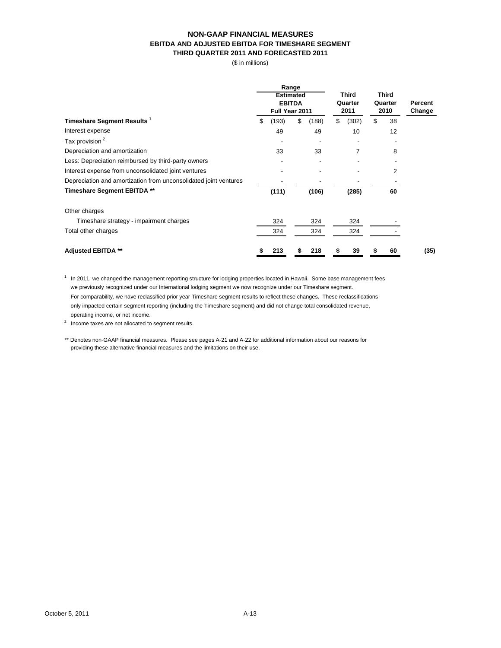#### **NON-GAAP FINANCIAL MEASURES EBITDA AND ADJUSTED EBITDA FOR TIMESHARE SEGMENT THIRD QUARTER 2011 AND FORECASTED 2011**

(\$ in millions)

|                                                                  |             | Range<br><b>Estimated</b><br><b>EBITDA</b><br>Full Year 2011 | <b>Third</b><br>Quarter<br>2011 | <b>Third</b><br>Quarter<br>2010 | Percent<br>Change |
|------------------------------------------------------------------|-------------|--------------------------------------------------------------|---------------------------------|---------------------------------|-------------------|
| Timeshare Segment Results <sup>1</sup>                           | \$<br>(193) | (188)<br>\$                                                  | \$<br>(302)                     | \$<br>38                        |                   |
| Interest expense                                                 | 49          | 49                                                           | 10                              | 12                              |                   |
| Tax provision <sup>2</sup>                                       |             |                                                              |                                 |                                 |                   |
| Depreciation and amortization                                    | 33          | 33                                                           | $\overline{7}$                  | 8                               |                   |
| Less: Depreciation reimbursed by third-party owners              |             |                                                              |                                 |                                 |                   |
| Interest expense from unconsolidated joint ventures              |             |                                                              |                                 | 2                               |                   |
| Depreciation and amortization from unconsolidated joint ventures |             |                                                              |                                 |                                 |                   |
| Timeshare Segment EBITDA **                                      | (111)       | (106)                                                        | (285)                           | 60                              |                   |
| Other charges                                                    |             |                                                              |                                 |                                 |                   |
| Timeshare strategy - impairment charges                          | 324         | 324                                                          | 324                             |                                 |                   |
| Total other charges                                              | 324         | 324                                                          | 324                             |                                 |                   |
| <b>Adjusted EBITDA **</b>                                        | 213         | 218<br>S                                                     | 39<br>S                         | 60                              | (35)              |

 $1$  In 2011, we changed the management reporting structure for lodging properties located in Hawaii. Some base management fees we previously recognized under our International lodging segment we now recognize under our Timeshare segment. For comparability, we have reclassified prior year Timeshare segment results to reflect these changes. These reclassifications only impacted certain segment reporting (including the Timeshare segment) and did not change total consolidated revenue, operating income, or net income.

2 Income taxes are not allocated to segment results.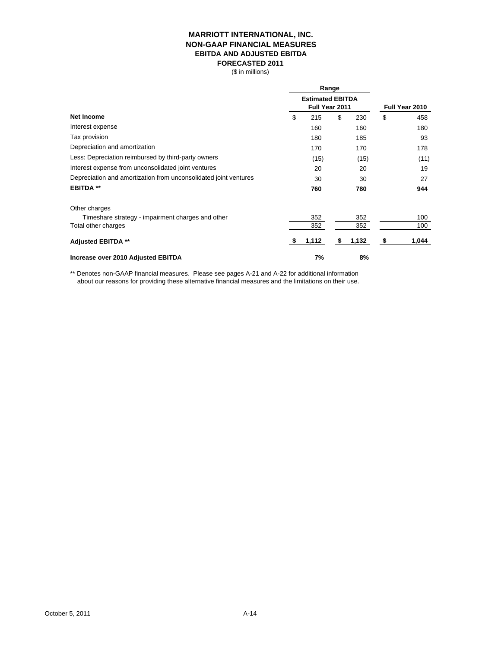#### **MARRIOTT INTERNATIONAL, INC. NON-GAAP FINANCIAL MEASURES EBITDA AND ADJUSTED EBITDA FORECASTED 2011**

(\$ in millions)

|                                                                  | Range                                     |                |       |    |       |
|------------------------------------------------------------------|-------------------------------------------|----------------|-------|----|-------|
|                                                                  | <b>Estimated EBITDA</b><br>Full Year 2011 | Full Year 2010 |       |    |       |
| Net Income                                                       | \$<br>215                                 | \$             | 230   | \$ | 458   |
| Interest expense                                                 | 160                                       |                | 160   |    | 180   |
| Tax provision                                                    | 180                                       |                | 185   |    | 93    |
| Depreciation and amortization                                    | 170                                       |                | 170   |    | 178   |
| Less: Depreciation reimbursed by third-party owners              | (15)                                      |                | (15)  |    | (11)  |
| Interest expense from unconsolidated joint ventures              | 20                                        |                | 20    |    | 19    |
| Depreciation and amortization from unconsolidated joint ventures | 30                                        |                | 30    |    | 27    |
| <b>EBITDA **</b>                                                 | 760                                       |                | 780   |    | 944   |
| Other charges                                                    |                                           |                |       |    |       |
| Timeshare strategy - impairment charges and other                | 352                                       |                | 352   |    | 100   |
| Total other charges                                              | 352                                       |                | 352   |    | 100   |
| <b>Adjusted EBITDA **</b>                                        | 1,112                                     |                | 1,132 | S  | 1,044 |
| Increase over 2010 Adjusted EBITDA                               | 7%                                        |                | 8%    |    |       |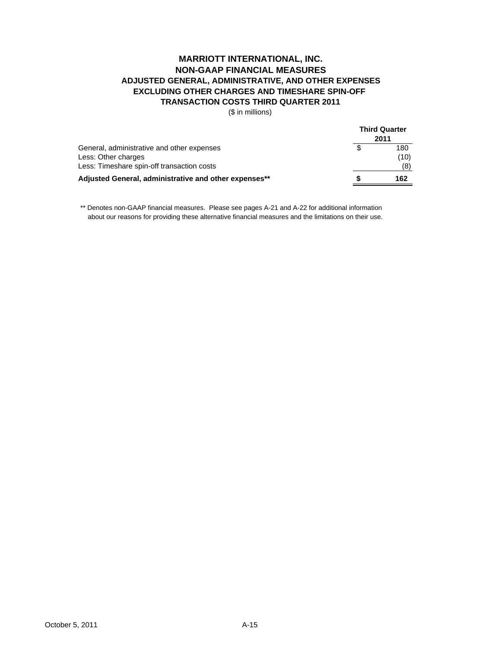## **TRANSACTION COSTS THIRD QUARTER 2011 MARRIOTT INTERNATIONAL, INC. NON-GAAP FINANCIAL MEASURES ADJUSTED GENERAL, ADMINISTRATIVE, AND OTHER EXPENSES EXCLUDING OTHER CHARGES AND TIMESHARE SPIN-OFF**

(\$ in millions)

|                                                       | <b>Third Quarter</b><br>2011 |      |  |  |
|-------------------------------------------------------|------------------------------|------|--|--|
| General, administrative and other expenses            |                              | 180  |  |  |
| Less: Other charges                                   |                              | (10) |  |  |
| Less: Timeshare spin-off transaction costs            |                              | (8)  |  |  |
| Adjusted General, administrative and other expenses** |                              | 162  |  |  |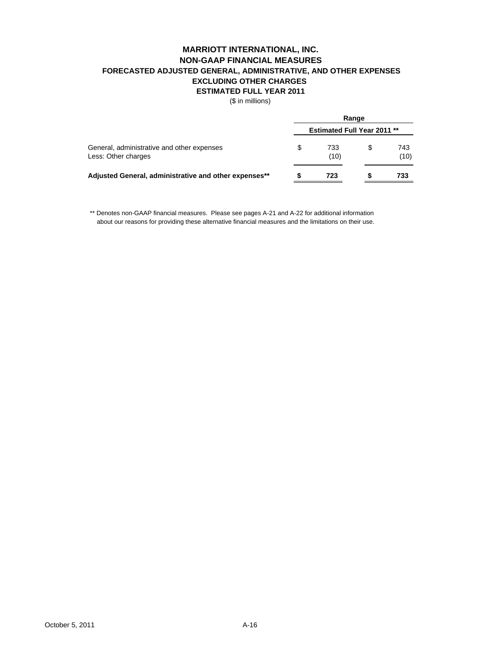## **MARRIOTT INTERNATIONAL, INC. NON-GAAP FINANCIAL MEASURES FORECASTED ADJUSTED GENERAL, ADMINISTRATIVE, AND OTHER EXPENSES EXCLUDING OTHER CHARGES ESTIMATED FULL YEAR 2011**

(\$ in millions)

|                                                                   | Range |                                    |   |             |  |  |  |
|-------------------------------------------------------------------|-------|------------------------------------|---|-------------|--|--|--|
|                                                                   |       | <b>Estimated Full Year 2011 **</b> |   |             |  |  |  |
| General, administrative and other expenses<br>Less: Other charges | S     | 733<br>(10)                        | S | 743<br>(10) |  |  |  |
| Adjusted General, administrative and other expenses**             |       | 723                                |   | 733         |  |  |  |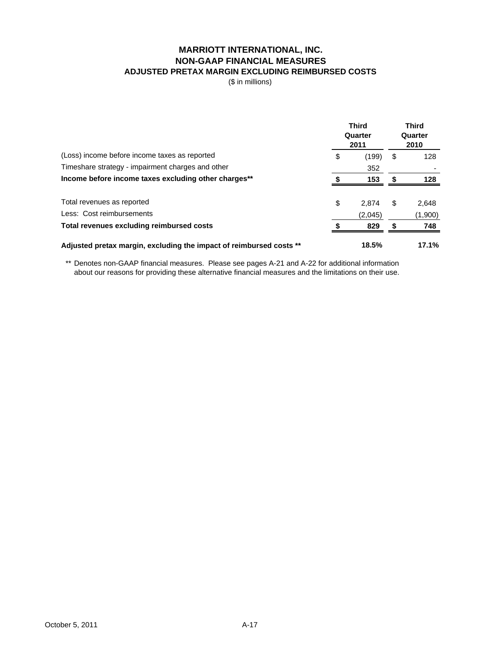## **MARRIOTT INTERNATIONAL, INC. NON-GAAP FINANCIAL MEASURES ADJUSTED PRETAX MARGIN EXCLUDING REIMBURSED COSTS**

(\$ in millions)

|                                                                     | <b>Third</b><br>Quarter<br>2011 | <b>Third</b><br>Quarter<br>2010 |         |
|---------------------------------------------------------------------|---------------------------------|---------------------------------|---------|
| (Loss) income before income taxes as reported                       | \$<br>(199)                     | \$                              | 128     |
| Timeshare strategy - impairment charges and other                   | 352                             |                                 |         |
| Income before income taxes excluding other charges**                | 153                             | S                               | 128     |
| Total revenues as reported                                          | \$<br>2.874                     | \$                              | 2,648   |
| Less: Cost reimbursements                                           | (2,045)                         |                                 | (1,900) |
| Total revenues excluding reimbursed costs                           | 829                             | S                               | 748     |
| Adjusted pretax margin, excluding the impact of reimbursed costs ** | 18.5%                           |                                 | 17.1%   |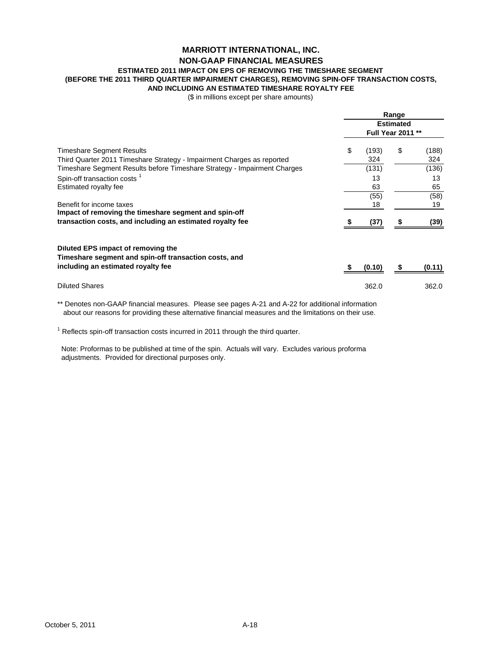## **MARRIOTT INTERNATIONAL, INC. NON-GAAP FINANCIAL MEASURES**

# **ESTIMATED 2011 IMPACT ON EPS OF REMOVING THE TIMESHARE SEGMENT**

## **(BEFORE THE 2011 THIRD QUARTER IMPAIRMENT CHARGES), REMOVING SPIN-OFF TRANSACTION COSTS,**

**AND INCLUDING AN ESTIMATED TIMESHARE ROYALTY FEE**

(\$ in millions except per share amounts)

|                                                                                                                                                                                 |    | Range<br><b>Estimated</b><br>Full Year 2011 ** |    |                       |  |  |  |
|---------------------------------------------------------------------------------------------------------------------------------------------------------------------------------|----|------------------------------------------------|----|-----------------------|--|--|--|
| Timeshare Segment Results<br>Third Quarter 2011 Timeshare Strategy - Impairment Charges as reported<br>Timeshare Segment Results before Timeshare Strategy - Impairment Charges | \$ | (193)<br>324<br>(131)                          | \$ | (188)<br>324<br>(136) |  |  |  |
| Spin-off transaction costs <sup>1</sup>                                                                                                                                         |    | 13                                             |    | 13                    |  |  |  |
| Estimated royalty fee                                                                                                                                                           |    | 63                                             |    | 65                    |  |  |  |
| Benefit for income taxes<br>Impact of removing the timeshare segment and spin-off                                                                                               |    | (55)<br>18                                     |    | (58)<br>19            |  |  |  |
| transaction costs, and including an estimated royalty fee                                                                                                                       |    | (37)                                           |    | (39)                  |  |  |  |
| Diluted EPS impact of removing the<br>Timeshare segment and spin-off transaction costs, and                                                                                     |    |                                                |    |                       |  |  |  |
| including an estimated royalty fee                                                                                                                                              |    | (0.10)                                         |    | (0.11)                |  |  |  |
| <b>Diluted Shares</b>                                                                                                                                                           |    | 362.0                                          |    | 362.0                 |  |  |  |

\*\* Denotes non-GAAP financial measures. Please see pages A-21 and A-22 for additional information about our reasons for providing these alternative financial measures and the limitations on their use.

 $1$  Reflects spin-off transaction costs incurred in 2011 through the third quarter.

 Note: Proformas to be published at time of the spin. Actuals will vary. Excludes various proforma adjustments. Provided for directional purposes only.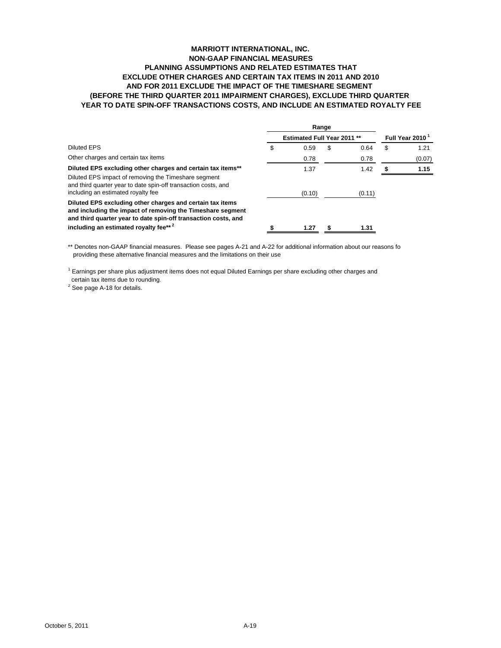#### **MARRIOTT INTERNATIONAL, INC. NON-GAAP FINANCIAL MEASURES PLANNING ASSUMPTIONS AND RELATED ESTIMATES THAT EXCLUDE OTHER CHARGES AND CERTAIN TAX ITEMS IN 2011 AND 2010 AND FOR 2011 EXCLUDE THE IMPACT OF THE TIMESHARE SEGMENT (BEFORE THE THIRD QUARTER 2011 IMPAIRMENT CHARGES), EXCLUDE THIRD QUARTER YEAR TO DATE SPIN-OFF TRANSACTIONS COSTS, AND INCLUDE AN ESTIMATED ROYALTY FEE**

| <b>Estimated Full Year 2011 **</b> |        |    |        |   |                             |
|------------------------------------|--------|----|--------|---|-----------------------------|
|                                    |        |    |        |   | Full Year 2010 <sup>1</sup> |
| \$                                 | 0.59   | \$ | 0.64   | S | 1.21                        |
|                                    | 0.78   |    | 0.78   |   | (0.07)                      |
|                                    | 1.37   |    | 1.42   |   | 1.15                        |
|                                    | (0.10) |    | (0.11) |   |                             |
|                                    |        |    |        |   |                             |
|                                    | 1.27   | Я  | 1.31   |   |                             |
|                                    |        |    | Range  |   |                             |

\*\* Denotes non-GAAP financial measures. Please see pages A-21 and A-22 for additional information about our reasons fo providing these alternative financial measures and the limitations on their use

<sup>1</sup> Earnings per share plus adjustment items does not equal Diluted Earnings per share excluding other charges and certain tax items due to rounding.

 $2$  See page A-18 for details.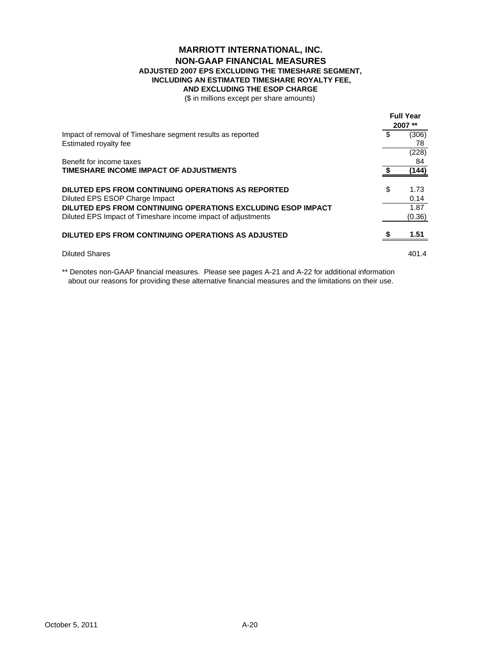### **AND EXCLUDING THE ESOP CHARGE MARRIOTT INTERNATIONAL, INC. NON-GAAP FINANCIAL MEASURES ADJUSTED 2007 EPS EXCLUDING THE TIMESHARE SEGMENT, INCLUDING AN ESTIMATED TIMESHARE ROYALTY FEE,**

(\$ in millions except per share amounts)

| Impact of removal of Timeshare segment results as reported   | <b>Full Year</b><br>2007** |        |
|--------------------------------------------------------------|----------------------------|--------|
|                                                              | \$                         | (306)  |
| Estimated royalty fee                                        |                            | 78     |
|                                                              |                            | (228)  |
| Benefit for income taxes                                     |                            | 84     |
| TIMESHARE INCOME IMPACT OF ADJUSTMENTS                       |                            | (144)  |
| <b>DILUTED EPS FROM CONTINUING OPERATIONS AS REPORTED</b>    | \$                         | 1.73   |
| Diluted EPS ESOP Charge Impact                               |                            | 0.14   |
| DILUTED EPS FROM CONTINUING OPERATIONS EXCLUDING ESOP IMPACT |                            | 1.87   |
| Diluted EPS Impact of Timeshare income impact of adjustments |                            | (0.36) |
| DILUTED EPS FROM CONTINUING OPERATIONS AS ADJUSTED           |                            | 1.51   |
| <b>Diluted Shares</b>                                        |                            | 401.4  |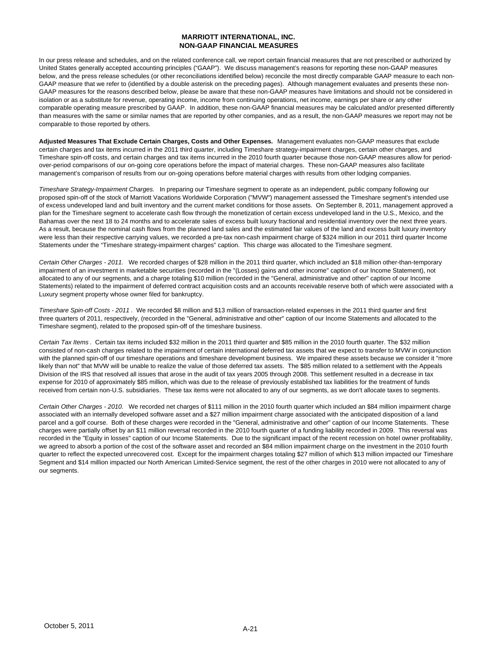#### **MARRIOTT INTERNATIONAL, INC. NON-GAAP FINANCIAL MEASURES**

In our press release and schedules, and on the related conference call, we report certain financial measures that are not prescribed or authorized by United States generally accepted accounting principles ("GAAP"). We discuss management's reasons for reporting these non-GAAP measures below, and the press release schedules (or other reconciliations identified below) reconcile the most directly comparable GAAP measure to each non-GAAP measure that we refer to (identified by a double asterisk on the preceding pages). Although management evaluates and presents these non-GAAP measures for the reasons described below, please be aware that these non-GAAP measures have limitations and should not be considered in isolation or as a substitute for revenue, operating income, income from continuing operations, net income, earnings per share or any other comparable operating measure prescribed by GAAP. In addition, these non-GAAP financial measures may be calculated and/or presented differently than measures with the same or similar names that are reported by other companies, and as a result, the non-GAAP measures we report may not be comparable to those reported by others.

**Adjusted Measures That Exclude Certain Charges, Costs and Other Expenses.** Management evaluates non-GAAP measures that exclude certain charges and tax items incurred in the 2011 third quarter, including Timeshare strategy-impairment charges, certain other charges, and Timeshare spin-off costs, and certain charges and tax items incurred in the 2010 fourth quarter because those non-GAAP measures allow for periodover-period comparisons of our on-going core operations before the impact of material charges. These non-GAAP measures also facilitate management's comparison of results from our on-going operations before material charges with results from other lodging companies.

*Timeshare Strategy-Impairment Charges.* In preparing our Timeshare segment to operate as an independent, public company following our proposed spin-off of the stock of Marriott Vacations Worldwide Corporation ("MVW") management assessed the Timeshare segment's intended use of excess undeveloped land and built inventory and the current market conditions for those assets. On September 8, 2011, management approved a plan for the Timeshare segment to accelerate cash flow through the monetization of certain excess undeveloped land in the U.S., Mexico, and the Bahamas over the next 18 to 24 months and to accelerate sales of excess built luxury fractional and residential inventory over the next three years. As a result, because the nominal cash flows from the planned land sales and the estimated fair values of the land and excess built luxury inventory were less than their respective carrying values, we recorded a pre-tax non-cash impairment charge of \$324 million in our 2011 third quarter Income Statements under the "Timeshare strategy-impairment charges" caption. This charge was allocated to the Timeshare segment.

*Certain Other Charges - 2011.* We recorded charges of \$28 million in the 2011 third quarter, which included an \$18 million other-than-temporary impairment of an investment in marketable securities (recorded in the "(Losses) gains and other income" caption of our Income Statement), not allocated to any of our segments, and a charge totaling \$10 million (recorded in the "General, administrative and other" caption of our Income Statements) related to the impairment of deferred contract acquisition costs and an accounts receivable reserve both of which were associated with a Luxury segment property whose owner filed for bankruptcy.

*Timeshare Spin-off Costs - 2011* . We recorded \$8 million and \$13 million of transaction-related expenses in the 2011 third quarter and first three quarters of 2011, respectively, (recorded in the "General, administrative and other" caption of our Income Statements and allocated to the Timeshare segment), related to the proposed spin-off of the timeshare business.

*Certain Tax Items* . Certain tax items included \$32 million in the 2011 third quarter and \$85 million in the 2010 fourth quarter. The \$32 million consisted of non-cash charges related to the impairment of certain international deferred tax assets that we expect to transfer to MVW in conjunction with the planned spin-off of our timeshare operations and timeshare development business. We impaired these assets because we consider it "more likely than not" that MVW will be unable to realize the value of those deferred tax assets. The \$85 million related to a settlement with the Appeals Division of the IRS that resolved all issues that arose in the audit of tax years 2005 through 2008. This settlement resulted in a decrease in tax expense for 2010 of approximately \$85 million, which was due to the release of previously established tax liabilities for the treatment of funds received from certain non-U.S. subsidiaries. These tax items were not allocated to any of our segments, as we don't allocate taxes to segments.

*Certain Other Charges - 2010.* We recorded net charges of \$111 million in the 2010 fourth quarter which included an \$84 million impairment charge associated with an internally developed software asset and a \$27 million impairment charge associated with the anticipated disposition of a land parcel and a golf course. Both of these charges were recorded in the "General, administrative and other" caption of our Income Statements. These charges were partially offset by an \$11 million reversal recorded in the 2010 fourth quarter of a funding liability recorded in 2009. This reversal was recorded in the "Equity in losses" caption of our Income Statements. Due to the significant impact of the recent recession on hotel owner profitability, we agreed to absorb a portion of the cost of the software asset and recorded an \$84 million impairment charge on the investment in the 2010 fourth quarter to reflect the expected unrecovered cost. Except for the impairment charges totaling \$27 million of which \$13 million impacted our Timeshare Segment and \$14 million impacted our North American Limited-Service segment, the rest of the other charges in 2010 were not allocated to any of our seaments.